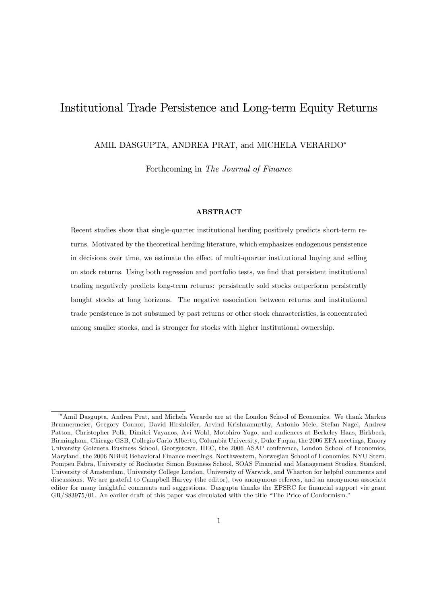# Institutional Trade Persistence and Long-term Equity Returns

AMIL DASGUPTA, ANDREA PRAT, and MICHELA VERARDO

Forthcoming in The Journal of Finance

#### ABSTRACT

Recent studies show that single-quarter institutional herding positively predicts short-term returns. Motivated by the theoretical herding literature, which emphasizes endogenous persistence in decisions over time, we estimate the effect of multi-quarter institutional buying and selling on stock returns. Using both regression and portfolio tests, we Önd that persistent institutional trading negatively predicts long-term returns: persistently sold stocks outperform persistently bought stocks at long horizons. The negative association between returns and institutional trade persistence is not subsumed by past returns or other stock characteristics, is concentrated among smaller stocks, and is stronger for stocks with higher institutional ownership.

Amil Dasgupta, Andrea Prat, and Michela Verardo are at the London School of Economics. We thank Markus Brunnermeier, Gregory Connor, David Hirshleifer, Arvind Krishnamurthy, Antonio Mele, Stefan Nagel, Andrew Patton, Christopher Polk, Dimitri Vayanos, Avi Wohl, Motohiro Yogo, and audiences at Berkeley Haas, Birkbeck, Birmingham, Chicago GSB, Collegio Carlo Alberto, Columbia University, Duke Fuqua, the 2006 EFA meetings, Emory University Goizueta Business School, Georgetown, HEC, the 2006 ASAP conference, London School of Economics, Maryland, the 2006 NBER Behavioral Finance meetings, Northwestern, Norwegian School of Economics, NYU Stern, Pompeu Fabra, University of Rochester Simon Business School, SOAS Financial and Management Studies, Stanford, University of Amsterdam, University College London, University of Warwick, and Wharton for helpful comments and discussions. We are grateful to Campbell Harvey (the editor), two anonymous referees, and an anonymous associate editor for many insightful comments and suggestions. Dasgupta thanks the EPSRC for financial support via grant  $GR/S83975/01.$  An earlier draft of this paper was circulated with the title "The Price of Conformism."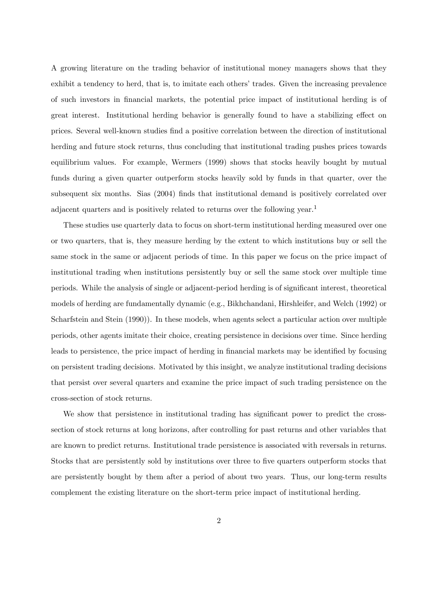A growing literature on the trading behavior of institutional money managers shows that they exhibit a tendency to herd, that is, to imitate each others' trades. Given the increasing prevalence of such investors in Önancial markets, the potential price impact of institutional herding is of great interest. Institutional herding behavior is generally found to have a stabilizing effect on prices. Several well-known studies Önd a positive correlation between the direction of institutional herding and future stock returns, thus concluding that institutional trading pushes prices towards equilibrium values. For example, Wermers (1999) shows that stocks heavily bought by mutual funds during a given quarter outperform stocks heavily sold by funds in that quarter, over the subsequent six months. Sias (2004) finds that institutional demand is positively correlated over adjacent quarters and is positively related to returns over the following year.<sup>1</sup>

These studies use quarterly data to focus on short-term institutional herding measured over one or two quarters, that is, they measure herding by the extent to which institutions buy or sell the same stock in the same or adjacent periods of time. In this paper we focus on the price impact of institutional trading when institutions persistently buy or sell the same stock over multiple time periods. While the analysis of single or adjacent-period herding is of significant interest, theoretical models of herding are fundamentally dynamic (e.g., Bikhchandani, Hirshleifer, and Welch (1992) or Scharfstein and Stein (1990)). In these models, when agents select a particular action over multiple periods, other agents imitate their choice, creating persistence in decisions over time. Since herding leads to persistence, the price impact of herding in financial markets may be identified by focusing on persistent trading decisions. Motivated by this insight, we analyze institutional trading decisions that persist over several quarters and examine the price impact of such trading persistence on the cross-section of stock returns.

We show that persistence in institutional trading has significant power to predict the crosssection of stock returns at long horizons, after controlling for past returns and other variables that are known to predict returns. Institutional trade persistence is associated with reversals in returns. Stocks that are persistently sold by institutions over three to five quarters outperform stocks that are persistently bought by them after a period of about two years. Thus, our long-term results complement the existing literature on the short-term price impact of institutional herding.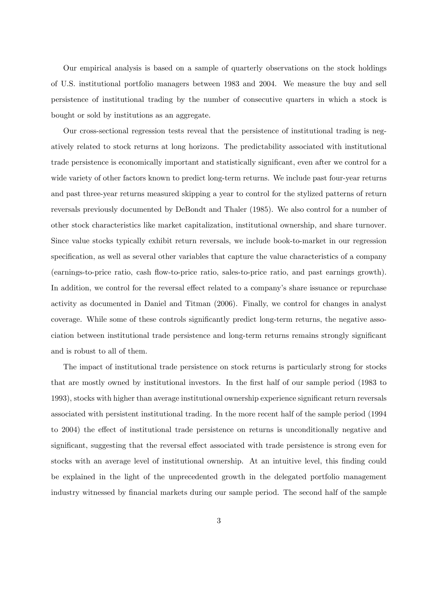Our empirical analysis is based on a sample of quarterly observations on the stock holdings of U.S. institutional portfolio managers between 1983 and 2004. We measure the buy and sell persistence of institutional trading by the number of consecutive quarters in which a stock is bought or sold by institutions as an aggregate.

Our cross-sectional regression tests reveal that the persistence of institutional trading is negatively related to stock returns at long horizons. The predictability associated with institutional trade persistence is economically important and statistically significant, even after we control for a wide variety of other factors known to predict long-term returns. We include past four-year returns and past three-year returns measured skipping a year to control for the stylized patterns of return reversals previously documented by DeBondt and Thaler (1985). We also control for a number of other stock characteristics like market capitalization, institutional ownership, and share turnover. Since value stocks typically exhibit return reversals, we include book-to-market in our regression specification, as well as several other variables that capture the value characteristics of a company (earnings-to-price ratio, cash áow-to-price ratio, sales-to-price ratio, and past earnings growth). In addition, we control for the reversal effect related to a company's share issuance or repurchase activity as documented in Daniel and Titman (2006). Finally, we control for changes in analyst coverage. While some of these controls significantly predict long-term returns, the negative association between institutional trade persistence and long-term returns remains strongly significant and is robust to all of them.

The impact of institutional trade persistence on stock returns is particularly strong for stocks that are mostly owned by institutional investors. In the Örst half of our sample period (1983 to 1993), stocks with higher than average institutional ownership experience significant return reversals associated with persistent institutional trading. In the more recent half of the sample period (1994 to 2004) the effect of institutional trade persistence on returns is unconditionally negative and significant, suggesting that the reversal effect associated with trade persistence is strong even for stocks with an average level of institutional ownership. At an intuitive level, this finding could be explained in the light of the unprecedented growth in the delegated portfolio management industry witnessed by Önancial markets during our sample period. The second half of the sample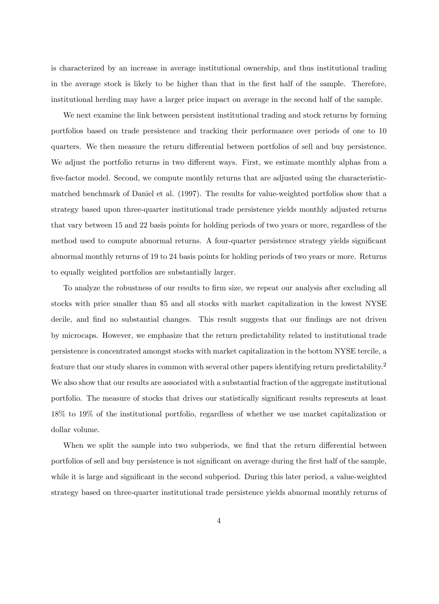is characterized by an increase in average institutional ownership, and thus institutional trading in the average stock is likely to be higher than that in the first half of the sample. Therefore, institutional herding may have a larger price impact on average in the second half of the sample.

We next examine the link between persistent institutional trading and stock returns by forming portfolios based on trade persistence and tracking their performance over periods of one to 10 quarters. We then measure the return differential between portfolios of sell and buy persistence. We adjust the portfolio returns in two different ways. First, we estimate monthly alphas from a five-factor model. Second, we compute monthly returns that are adjusted using the characteristicmatched benchmark of Daniel et al. (1997). The results for value-weighted portfolios show that a strategy based upon three-quarter institutional trade persistence yields monthly adjusted returns that vary between 15 and 22 basis points for holding periods of two years or more, regardless of the method used to compute abnormal returns. A four-quarter persistence strategy yields significant abnormal monthly returns of 19 to 24 basis points for holding periods of two years or more. Returns to equally weighted portfolios are substantially larger.

To analyze the robustness of our results to firm size, we repeat our analysis after excluding all stocks with price smaller than \$5 and all stocks with market capitalization in the lowest NYSE decile, and find no substantial changes. This result suggests that our findings are not driven by microcaps. However, we emphasize that the return predictability related to institutional trade persistence is concentrated amongst stocks with market capitalization in the bottom NYSE tercile, a feature that our study shares in common with several other papers identifying return predictability.<sup>2</sup> We also show that our results are associated with a substantial fraction of the aggregate institutional portfolio. The measure of stocks that drives our statistically significant results represents at least 18% to 19% of the institutional portfolio, regardless of whether we use market capitalization or dollar volume.

When we split the sample into two subperiods, we find that the return differential between portfolios of sell and buy persistence is not significant on average during the first half of the sample, while it is large and significant in the second subperiod. During this later period, a value-weighted strategy based on three-quarter institutional trade persistence yields abnormal monthly returns of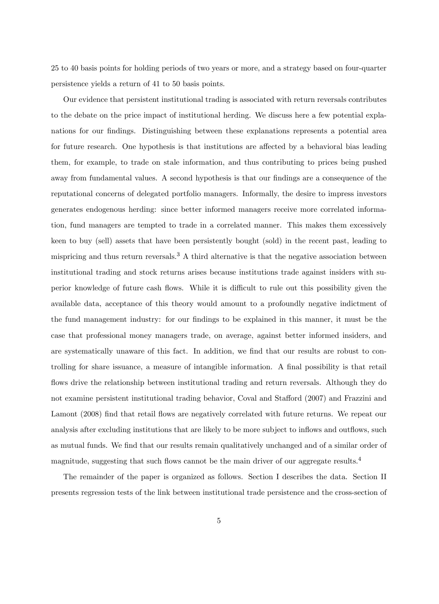25 to 40 basis points for holding periods of two years or more, and a strategy based on four-quarter persistence yields a return of 41 to 50 basis points.

Our evidence that persistent institutional trading is associated with return reversals contributes to the debate on the price impact of institutional herding. We discuss here a few potential explanations for our findings. Distinguishing between these explanations represents a potential area for future research. One hypothesis is that institutions are affected by a behavioral bias leading them, for example, to trade on stale information, and thus contributing to prices being pushed away from fundamental values. A second hypothesis is that our findings are a consequence of the reputational concerns of delegated portfolio managers. Informally, the desire to impress investors generates endogenous herding: since better informed managers receive more correlated information, fund managers are tempted to trade in a correlated manner. This makes them excessively keen to buy (sell) assets that have been persistently bought (sold) in the recent past, leading to mispricing and thus return reversals.<sup>3</sup> A third alternative is that the negative association between institutional trading and stock returns arises because institutions trade against insiders with superior knowledge of future cash flows. While it is difficult to rule out this possibility given the available data, acceptance of this theory would amount to a profoundly negative indictment of the fund management industry: for our findings to be explained in this manner, it must be the case that professional money managers trade, on average, against better informed insiders, and are systematically unaware of this fact. In addition, we find that our results are robust to controlling for share issuance, a measure of intangible information. A final possibility is that retail flows drive the relationship between institutional trading and return reversals. Although they do not examine persistent institutional trading behavior, Coval and Stafford (2007) and Frazzini and Lamont (2008) find that retail flows are negatively correlated with future returns. We repeat our analysis after excluding institutions that are likely to be more subject to inflows and outflows, such as mutual funds. We find that our results remain qualitatively unchanged and of a similar order of magnitude, suggesting that such flows cannot be the main driver of our aggregate results.<sup>4</sup>

The remainder of the paper is organized as follows. Section I describes the data. Section II presents regression tests of the link between institutional trade persistence and the cross-section of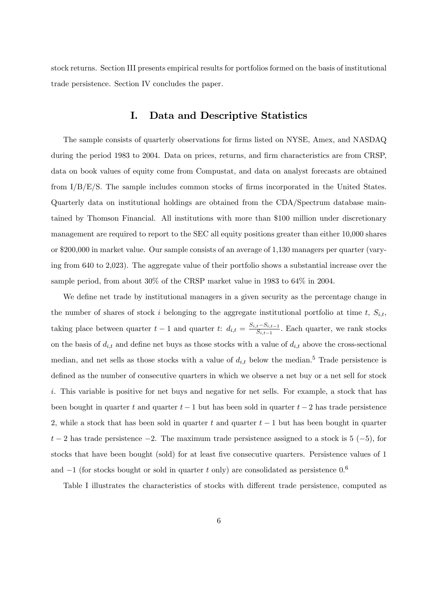stock returns. Section III presents empirical results for portfolios formed on the basis of institutional trade persistence. Section IV concludes the paper.

# I. Data and Descriptive Statistics

The sample consists of quarterly observations for firms listed on NYSE, Amex, and NASDAQ during the period 1983 to 2004. Data on prices, returns, and firm characteristics are from CRSP, data on book values of equity come from Compustat, and data on analyst forecasts are obtained from  $I/B/E/S$ . The sample includes common stocks of firms incorporated in the United States. Quarterly data on institutional holdings are obtained from the CDA/Spectrum database maintained by Thomson Financial. All institutions with more than \$100 million under discretionary management are required to report to the SEC all equity positions greater than either 10,000 shares or \$200,000 in market value. Our sample consists of an average of 1,130 managers per quarter (varying from 640 to 2,023). The aggregate value of their portfolio shows a substantial increase over the sample period, from about 30% of the CRSP market value in 1983 to 64% in 2004.

We define net trade by institutional managers in a given security as the percentage change in the number of shares of stock i belonging to the aggregate institutional portfolio at time t,  $S_{i,t}$ , taking place between quarter  $t-1$  and quarter  $t$ :  $d_{i,t} = \frac{S_{i,t}-S_{i,t-1}}{S_{i,t-1}}$  $\frac{t-S_{i,t-1}}{S_{i,t-1}}$ . Each quarter, we rank stocks on the basis of  $d_{i,t}$  and define net buys as those stocks with a value of  $d_{i,t}$  above the cross-sectional median, and net sells as those stocks with a value of  $d_{i,t}$  below the median.<sup>5</sup> Trade persistence is defined as the number of consecutive quarters in which we observe a net buy or a net sell for stock i. This variable is positive for net buys and negative for net sells. For example, a stock that has been bought in quarter t and quarter  $t-1$  but has been sold in quarter  $t-2$  has trade persistence 2, while a stock that has been sold in quarter  $t$  and quarter  $t-1$  but has been bought in quarter  $t-2$  has trade persistence  $-2$ . The maximum trade persistence assigned to a stock is  $5(-5)$ , for stocks that have been bought (sold) for at least five consecutive quarters. Persistence values of 1 and  $-1$  (for stocks bought or sold in quarter t only) are consolidated as persistence  $0.6$ 

Table I illustrates the characteristics of stocks with different trade persistence, computed as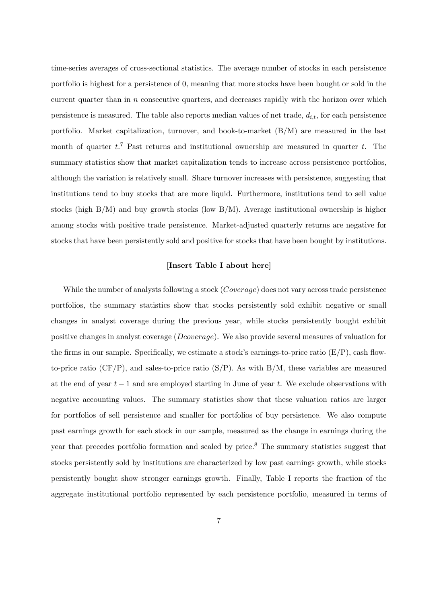time-series averages of cross-sectional statistics. The average number of stocks in each persistence portfolio is highest for a persistence of 0, meaning that more stocks have been bought or sold in the current quarter than in  $n$  consecutive quarters, and decreases rapidly with the horizon over which persistence is measured. The table also reports median values of net trade,  $d_{i,t}$ , for each persistence portfolio. Market capitalization, turnover, and book-to-market (B/M) are measured in the last month of quarter  $t$ <sup>7</sup>. Past returns and institutional ownership are measured in quarter  $t$ . The summary statistics show that market capitalization tends to increase across persistence portfolios, although the variation is relatively small. Share turnover increases with persistence, suggesting that institutions tend to buy stocks that are more liquid. Furthermore, institutions tend to sell value stocks (high  $B/M$ ) and buy growth stocks (low  $B/M$ ). Average institutional ownership is higher among stocks with positive trade persistence. Market-adjusted quarterly returns are negative for stocks that have been persistently sold and positive for stocks that have been bought by institutions.

### [Insert Table I about here]

While the number of analysts following a stock (*Coverage*) does not vary across trade persistence portfolios, the summary statistics show that stocks persistently sold exhibit negative or small changes in analyst coverage during the previous year, while stocks persistently bought exhibit positive changes in analyst coverage (Dcoverage). We also provide several measures of valuation for the firms in our sample. Specifically, we estimate a stock's earnings-to-price ratio  $(E/P)$ , cash flowto-price ratio (CF/P), and sales-to-price ratio  $(S/P)$ . As with  $B/M$ , these variables are measured at the end of year  $t-1$  and are employed starting in June of year t. We exclude observations with negative accounting values. The summary statistics show that these valuation ratios are larger for portfolios of sell persistence and smaller for portfolios of buy persistence. We also compute past earnings growth for each stock in our sample, measured as the change in earnings during the year that precedes portfolio formation and scaled by price.<sup>8</sup> The summary statistics suggest that stocks persistently sold by institutions are characterized by low past earnings growth, while stocks persistently bought show stronger earnings growth. Finally, Table I reports the fraction of the aggregate institutional portfolio represented by each persistence portfolio, measured in terms of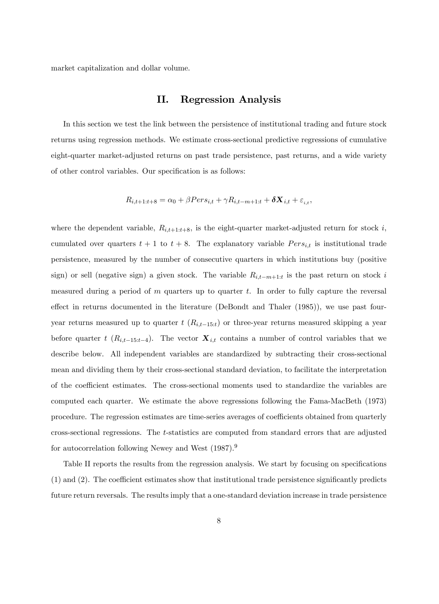market capitalization and dollar volume.

# II. Regression Analysis

In this section we test the link between the persistence of institutional trading and future stock returns using regression methods. We estimate cross-sectional predictive regressions of cumulative eight-quarter market-adjusted returns on past trade persistence, past returns, and a wide variety of other control variables. Our specification is as follows:

$$
R_{i,t+1:t+8} = \alpha_0 + \beta Pers_{i,t} + \gamma R_{i,t-m+1:t} + \delta \mathbf{X}_{i,t} + \varepsilon_{i,t},
$$

where the dependent variable,  $R_{i,t+1:t+8}$ , is the eight-quarter market-adjusted return for stock i, cumulated over quarters  $t + 1$  to  $t + 8$ . The explanatory variable  $Pers_{i,t}$  is institutional trade persistence, measured by the number of consecutive quarters in which institutions buy (positive sign) or sell (negative sign) a given stock. The variable  $R_{i,t-m+1:t}$  is the past return on stock i measured during a period of m quarters up to quarter t. In order to fully capture the reversal effect in returns documented in the literature (DeBondt and Thaler  $(1985)$ ), we use past fouryear returns measured up to quarter  $t$   $(R_{i,t-15:t})$  or three-year returns measured skipping a year before quarter t  $(R_{i,t-15:t-4})$ . The vector  $\mathbf{X}_{i,t}$  contains a number of control variables that we describe below. All independent variables are standardized by subtracting their cross-sectional mean and dividing them by their cross-sectional standard deviation, to facilitate the interpretation of the coefficient estimates. The cross-sectional moments used to standardize the variables are computed each quarter. We estimate the above regressions following the Fama-MacBeth (1973) procedure. The regression estimates are time-series averages of coefficients obtained from quarterly cross-sectional regressions. The t-statistics are computed from standard errors that are adjusted for autocorrelation following Newey and West (1987).<sup>9</sup>

Table II reports the results from the regression analysis. We start by focusing on specifications  $(1)$  and  $(2)$ . The coefficient estimates show that institutional trade persistence significantly predicts future return reversals. The results imply that a one-standard deviation increase in trade persistence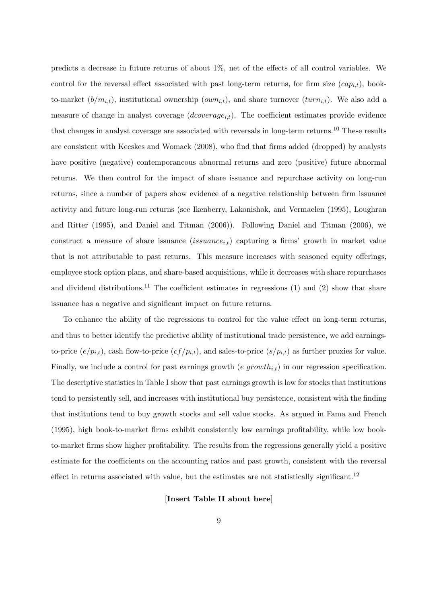predicts a decrease in future returns of about  $1\%$ , net of the effects of all control variables. We control for the reversal effect associated with past long-term returns, for firm size  $(cap_{i,t})$ , bookto-market  $(b/m_{i,t})$ , institutional ownership  $(own_{i,t})$ , and share turnover  $(turn_{i,t})$ . We also add a measure of change in analyst coverage  $(dcoverage_{i,t})$ . The coefficient estimates provide evidence that changes in analyst coverage are associated with reversals in long-term returns.<sup>10</sup> These results are consistent with Kecskes and Womack (2008), who find that firms added (dropped) by analysts have positive (negative) contemporaneous abnormal returns and zero (positive) future abnormal returns. We then control for the impact of share issuance and repurchase activity on long-run returns, since a number of papers show evidence of a negative relationship between firm issuance activity and future long-run returns (see Ikenberry, Lakonishok, and Vermaelen (1995), Loughran and Ritter (1995), and Daniel and Titman (2006)). Following Daniel and Titman (2006), we construct a measure of share issuance  $(isuance_{i,t})$  capturing a firms' growth in market value that is not attributable to past returns. This measure increases with seasoned equity offerings, employee stock option plans, and share-based acquisitions, while it decreases with share repurchases and dividend distributions.<sup>11</sup> The coefficient estimates in regressions (1) and (2) show that share issuance has a negative and significant impact on future returns.

To enhance the ability of the regressions to control for the value effect on long-term returns, and thus to better identify the predictive ability of institutional trade persistence, we add earningsto-price  $(e/p_{i,t})$ , cash flow-to-price  $(cf/p_{i,t})$ , and sales-to-price  $(s/p_{i,t})$  as further proxies for value. Finally, we include a control for past earnings growth (e growth<sub>it</sub>) in our regression specification. The descriptive statistics in Table I show that past earnings growth is low for stocks that institutions tend to persistently sell, and increases with institutional buy persistence, consistent with the finding that institutions tend to buy growth stocks and sell value stocks. As argued in Fama and French (1995), high book-to-market firms exhibit consistently low earnings profitability, while low bookto-market firms show higher profitability. The results from the regressions generally yield a positive estimate for the coefficients on the accounting ratios and past growth, consistent with the reversal effect in returns associated with value, but the estimates are not statistically significant.<sup>12</sup>

#### [Insert Table II about here]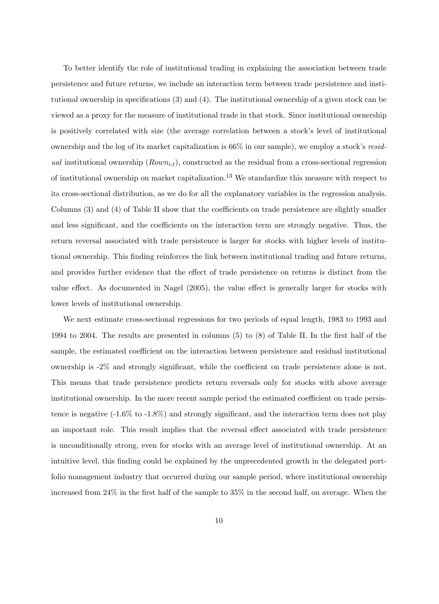To better identify the role of institutional trading in explaining the association between trade persistence and future returns, we include an interaction term between trade persistence and institutional ownership in specifications  $(3)$  and  $(4)$ . The institutional ownership of a given stock can be viewed as a proxy for the measure of institutional trade in that stock. Since institutional ownership is positively correlated with size (the average correlation between a stock's level of institutional ownership and the log of its market capitalization is  $66\%$  in our sample), we employ a stock's residual institutional ownership  $(Rown_{i,t})$ , constructed as the residual from a cross-sectional regression of institutional ownership on market capitalization.<sup>13</sup> We standardize this measure with respect to its cross-sectional distribution, as we do for all the explanatory variables in the regression analysis. Columns  $(3)$  and  $(4)$  of Table II show that the coefficients on trade persistence are slightly smaller and less significant, and the coefficients on the interaction term are strongly negative. Thus, the return reversal associated with trade persistence is larger for stocks with higher levels of institutional ownership. This Önding reinforces the link between institutional trading and future returns, and provides further evidence that the effect of trade persistence on returns is distinct from the value effect. As documented in Nagel  $(2005)$ , the value effect is generally larger for stocks with lower levels of institutional ownership.

We next estimate cross-sectional regressions for two periods of equal length, 1983 to 1993 and 1994 to 2004. The results are presented in columns  $(5)$  to  $(8)$  of Table II. In the first half of the sample, the estimated coefficient on the interaction between persistence and residual institutional ownership is  $-2\%$  and strongly significant, while the coefficient on trade persistence alone is not. This means that trade persistence predicts return reversals only for stocks with above average institutional ownership. In the more recent sample period the estimated coefficient on trade persistence is negative  $(-1.6\% \text{ to } -1.8\%)$  and strongly significant, and the interaction term does not play an important role. This result implies that the reversal effect associated with trade persistence is unconditionally strong, even for stocks with an average level of institutional ownership. At an intuitive level, this Önding could be explained by the unprecedented growth in the delegated portfolio management industry that occurred during our sample period, where institutional ownership increased from  $24\%$  in the first half of the sample to  $35\%$  in the second half, on average. When the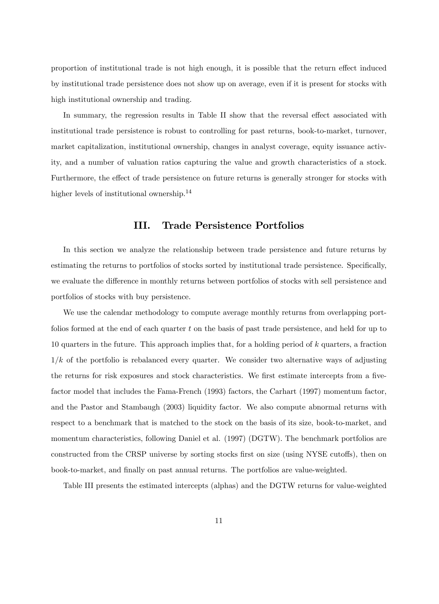proportion of institutional trade is not high enough, it is possible that the return effect induced by institutional trade persistence does not show up on average, even if it is present for stocks with high institutional ownership and trading.

In summary, the regression results in Table II show that the reversal effect associated with institutional trade persistence is robust to controlling for past returns, book-to-market, turnover, market capitalization, institutional ownership, changes in analyst coverage, equity issuance activity, and a number of valuation ratios capturing the value and growth characteristics of a stock. Furthermore, the effect of trade persistence on future returns is generally stronger for stocks with higher levels of institutional ownership.<sup>14</sup>

# III. Trade Persistence Portfolios

In this section we analyze the relationship between trade persistence and future returns by estimating the returns to portfolios of stocks sorted by institutional trade persistence. Specifically, we evaluate the difference in monthly returns between portfolios of stocks with sell persistence and portfolios of stocks with buy persistence.

We use the calendar methodology to compute average monthly returns from overlapping portfolios formed at the end of each quarter  $t$  on the basis of past trade persistence, and held for up to 10 quarters in the future. This approach implies that, for a holding period of k quarters, a fraction  $1/k$  of the portfolio is rebalanced every quarter. We consider two alternative ways of adjusting the returns for risk exposures and stock characteristics. We first estimate intercepts from a fivefactor model that includes the Fama-French (1993) factors, the Carhart (1997) momentum factor, and the Pastor and Stambaugh (2003) liquidity factor. We also compute abnormal returns with respect to a benchmark that is matched to the stock on the basis of its size, book-to-market, and momentum characteristics, following Daniel et al. (1997) (DGTW). The benchmark portfolios are constructed from the CRSP universe by sorting stocks first on size (using NYSE cutoffs), then on book-to-market, and Önally on past annual returns. The portfolios are value-weighted.

Table III presents the estimated intercepts (alphas) and the DGTW returns for value-weighted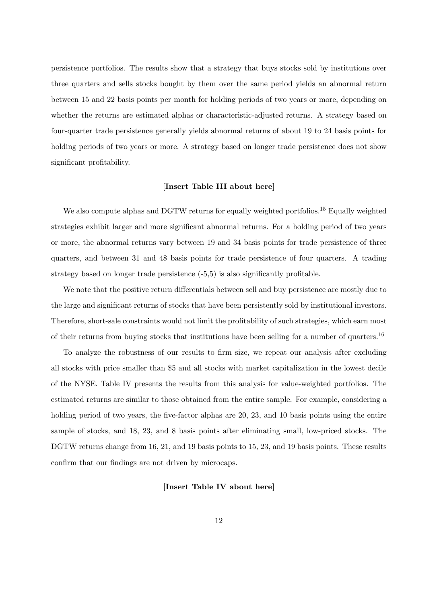persistence portfolios. The results show that a strategy that buys stocks sold by institutions over three quarters and sells stocks bought by them over the same period yields an abnormal return between 15 and 22 basis points per month for holding periods of two years or more, depending on whether the returns are estimated alphas or characteristic-adjusted returns. A strategy based on four-quarter trade persistence generally yields abnormal returns of about 19 to 24 basis points for holding periods of two years or more. A strategy based on longer trade persistence does not show significant profitability.

#### [Insert Table III about here]

We also compute alphas and DGTW returns for equally weighted portfolios.<sup>15</sup> Equally weighted strategies exhibit larger and more significant abnormal returns. For a holding period of two years or more, the abnormal returns vary between 19 and 34 basis points for trade persistence of three quarters, and between 31 and 48 basis points for trade persistence of four quarters. A trading strategy based on longer trade persistence  $(-5.5)$  is also significantly profitable.

We note that the positive return differentials between sell and buy persistence are mostly due to the large and significant returns of stocks that have been persistently sold by institutional investors. Therefore, short-sale constraints would not limit the profitability of such strategies, which earn most of their returns from buying stocks that institutions have been selling for a number of quarters.<sup>16</sup>

To analyze the robustness of our results to Örm size, we repeat our analysis after excluding all stocks with price smaller than \$5 and all stocks with market capitalization in the lowest decile of the NYSE. Table IV presents the results from this analysis for value-weighted portfolios. The estimated returns are similar to those obtained from the entire sample. For example, considering a holding period of two years, the five-factor alphas are 20, 23, and 10 basis points using the entire sample of stocks, and 18, 23, and 8 basis points after eliminating small, low-priced stocks. The DGTW returns change from 16, 21, and 19 basis points to 15, 23, and 19 basis points. These results confirm that our findings are not driven by microcaps.

#### [Insert Table IV about here]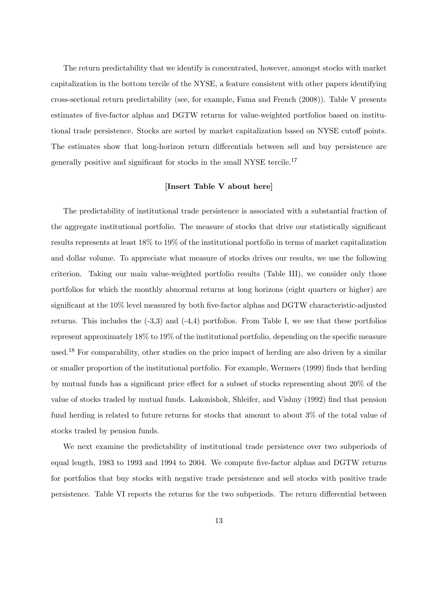The return predictability that we identify is concentrated, however, amongst stocks with market capitalization in the bottom tercile of the NYSE, a feature consistent with other papers identifying cross-sectional return predictability (see, for example, Fama and French (2008)). Table V presents estimates of five-factor alphas and DGTW returns for value-weighted portfolios based on institutional trade persistence. Stocks are sorted by market capitalization based on NYSE cutoff points. The estimates show that long-horizon return differentials between sell and buy persistence are generally positive and significant for stocks in the small NYSE tercile.<sup>17</sup>

# [Insert Table V about here]

The predictability of institutional trade persistence is associated with a substantial fraction of the aggregate institutional portfolio. The measure of stocks that drive our statistically significant results represents at least 18% to 19% of the institutional portfolio in terms of market capitalization and dollar volume. To appreciate what measure of stocks drives our results, we use the following criterion. Taking our main value-weighted portfolio results (Table III), we consider only those portfolios for which the monthly abnormal returns at long horizons (eight quarters or higher) are significant at the  $10\%$  level measured by both five-factor alphas and DGTW characteristic-adjusted returns. This includes the (-3,3) and (-4,4) portfolios. From Table I, we see that these portfolios represent approximately  $18\%$  to  $19\%$  of the institutional portfolio, depending on the specific measure used.<sup>18</sup> For comparability, other studies on the price impact of herding are also driven by a similar or smaller proportion of the institutional portfolio. For example, Wermers (1999) finds that herding by mutual funds has a significant price effect for a subset of stocks representing about  $20\%$  of the value of stocks traded by mutual funds. Lakonishok, Shleifer, and Vishny (1992) find that pension fund herding is related to future returns for stocks that amount to about 3% of the total value of stocks traded by pension funds.

We next examine the predictability of institutional trade persistence over two subperiods of equal length, 1983 to 1993 and 1994 to 2004. We compute Öve-factor alphas and DGTW returns for portfolios that buy stocks with negative trade persistence and sell stocks with positive trade persistence. Table VI reports the returns for the two subperiods. The return differential between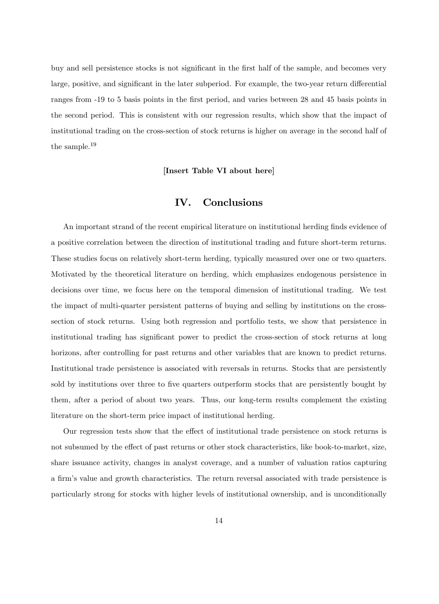buy and sell persistence stocks is not significant in the first half of the sample, and becomes very large, positive, and significant in the later subperiod. For example, the two-year return differential ranges from -19 to 5 basis points in the first period, and varies between 28 and 45 basis points in the second period. This is consistent with our regression results, which show that the impact of institutional trading on the cross-section of stock returns is higher on average in the second half of the sample.<sup>19</sup>

[Insert Table VI about here]

# IV. Conclusions

An important strand of the recent empirical literature on institutional herding finds evidence of a positive correlation between the direction of institutional trading and future short-term returns. These studies focus on relatively short-term herding, typically measured over one or two quarters. Motivated by the theoretical literature on herding, which emphasizes endogenous persistence in decisions over time, we focus here on the temporal dimension of institutional trading. We test the impact of multi-quarter persistent patterns of buying and selling by institutions on the crosssection of stock returns. Using both regression and portfolio tests, we show that persistence in institutional trading has significant power to predict the cross-section of stock returns at long horizons, after controlling for past returns and other variables that are known to predict returns. Institutional trade persistence is associated with reversals in returns. Stocks that are persistently sold by institutions over three to five quarters outperform stocks that are persistently bought by them, after a period of about two years. Thus, our long-term results complement the existing literature on the short-term price impact of institutional herding.

Our regression tests show that the effect of institutional trade persistence on stock returns is not subsumed by the effect of past returns or other stock characteristics, like book-to-market, size, share issuance activity, changes in analyst coverage, and a number of valuation ratios capturing a firm's value and growth characteristics. The return reversal associated with trade persistence is particularly strong for stocks with higher levels of institutional ownership, and is unconditionally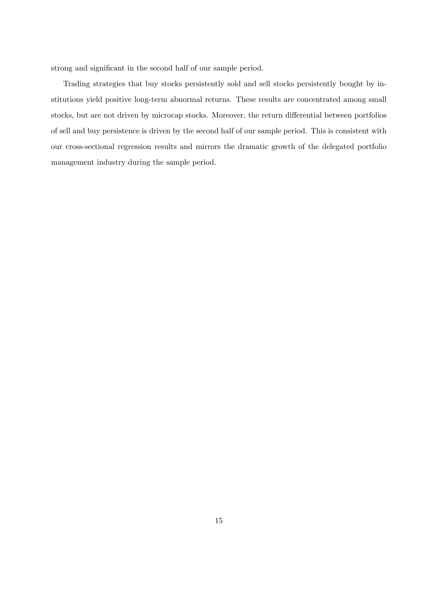strong and significant in the second half of our sample period.

Trading strategies that buy stocks persistently sold and sell stocks persistently bought by institutions yield positive long-term abnormal returns. These results are concentrated among small stocks, but are not driven by microcap stocks. Moreover, the return differential between portfolios of sell and buy persistence is driven by the second half of our sample period. This is consistent with our cross-sectional regression results and mirrors the dramatic growth of the delegated portfolio management industry during the sample period.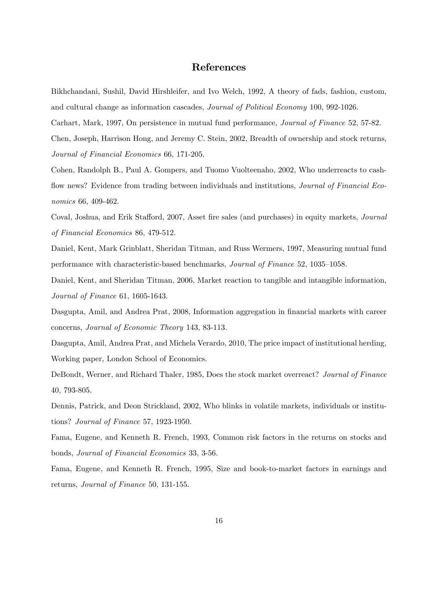# References

Bikhchandani, Sushil, David Hirshleifer, and Ivo Welch, 1992, A theory of fads, fashion, custom, and cultural change as information cascades, Journal of Political Economy 100, 992-1026.

Carhart, Mark, 1997, On persistence in mutual fund performance, Journal of Finance 52, 57-82.

Chen, Joseph, Harrison Hong, and Jeremy C. Stein, 2002, Breadth of ownership and stock returns, Journal of Financial Economics 66, 171-205.

Cohen, Randolph B., Paul A. Gompers, and Tuomo Vuolteenaho, 2002, Who underreacts to cashflow news? Evidence from trading between individuals and institutions, *Journal of Financial Eco*nomics 66, 409-462.

Coval, Joshua, and Erik Stafford, 2007, Asset fire sales (and purchases) in equity markets, Journal of Financial Economics 86, 479-512.

Daniel, Kent, Mark Grinblatt, Sheridan Titman, and Russ Wermers, 1997, Measuring mutual fund performance with characteristic-based benchmarks, *Journal of Finance* 52, 1035–1058.

Daniel, Kent, and Sheridan Titman, 2006, Market reaction to tangible and intangible information, Journal of Finance 61, 1605-1643.

Dasgupta, Amil, and Andrea Prat, 2008, Information aggregation in financial markets with career concerns, Journal of Economic Theory 143, 83-113.

Dasgupta, Amil, Andrea Prat, and Michela Verardo, 2010, The price impact of institutional herding, Working paper, London School of Economics.

DeBondt, Werner, and Richard Thaler, 1985, Does the stock market overreact? Journal of Finance 40, 793-805.

Dennis, Patrick, and Deon Strickland, 2002, Who blinks in volatile markets, individuals or institutions? Journal of Finance 57, 1923-1950.

Fama, Eugene, and Kenneth R. French, 1993, Common risk factors in the returns on stocks and bonds, Journal of Financial Economics 33, 3-56.

Fama, Eugene, and Kenneth R. French, 1995, Size and book-to-market factors in earnings and returns, Journal of Finance 50, 131-155.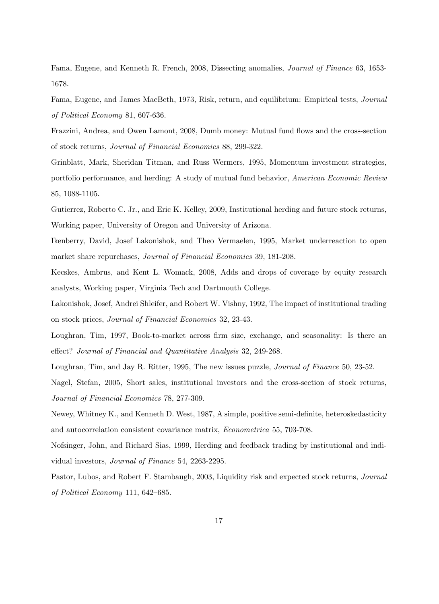Fama, Eugene, and Kenneth R. French, 2008, Dissecting anomalies, Journal of Finance 63, 1653- 1678.

Fama, Eugene, and James MacBeth, 1973, Risk, return, and equilibrium: Empirical tests, Journal of Political Economy 81, 607-636.

Frazzini, Andrea, and Owen Lamont, 2008, Dumb money: Mutual fund flows and the cross-section of stock returns, Journal of Financial Economics 88, 299-322.

Grinblatt, Mark, Sheridan Titman, and Russ Wermers, 1995, Momentum investment strategies, portfolio performance, and herding: A study of mutual fund behavior, American Economic Review 85, 1088-1105.

Gutierrez, Roberto C. Jr., and Eric K. Kelley, 2009, Institutional herding and future stock returns, Working paper, University of Oregon and University of Arizona.

Ikenberry, David, Josef Lakonishok, and Theo Vermaelen, 1995, Market underreaction to open market share repurchases, Journal of Financial Economics 39, 181-208.

Kecskes, Ambrus, and Kent L. Womack, 2008, Adds and drops of coverage by equity research analysts, Working paper, Virginia Tech and Dartmouth College.

Lakonishok, Josef, Andrei Shleifer, and Robert W. Vishny, 1992, The impact of institutional trading on stock prices, Journal of Financial Economics 32, 23-43.

Loughran, Tim, 1997, Book-to-market across firm size, exchange, and seasonality: Is there an effect? Journal of Financial and Quantitative Analysis 32, 249-268.

Loughran, Tim, and Jay R. Ritter, 1995, The new issues puzzle, *Journal of Finance* 50, 23-52.

Nagel, Stefan, 2005, Short sales, institutional investors and the cross-section of stock returns, Journal of Financial Economics 78, 277-309.

Newey, Whitney K., and Kenneth D. West, 1987, A simple, positive semi-definite, heteroskedasticity and autocorrelation consistent covariance matrix, Econometrica 55, 703-708.

Nofsinger, John, and Richard Sias, 1999, Herding and feedback trading by institutional and individual investors, Journal of Finance 54, 2263-2295.

Pastor, Lubos, and Robert F. Stambaugh, 2003, Liquidity risk and expected stock returns, *Journal* of Political Economy 111,  $642-685$ .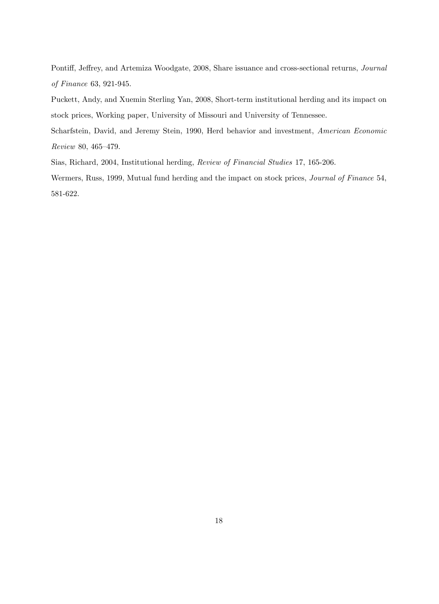Pontiff, Jeffrey, and Artemiza Woodgate, 2008, Share issuance and cross-sectional returns, Journal of Finance 63, 921-945.

Puckett, Andy, and Xuemin Sterling Yan, 2008, Short-term institutional herding and its impact on stock prices, Working paper, University of Missouri and University of Tennessee.

Scharfstein, David, and Jeremy Stein, 1990, Herd behavior and investment, American Economic Review 80, 465-479.

Sias, Richard, 2004, Institutional herding, Review of Financial Studies 17, 165-206.

Wermers, Russ, 1999, Mutual fund herding and the impact on stock prices, Journal of Finance 54, 581-622.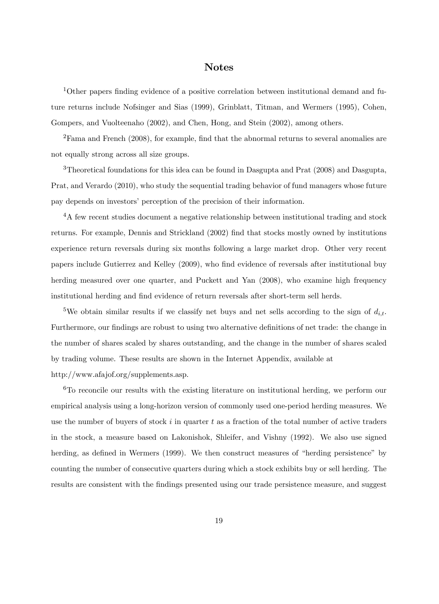# **Notes**

 $1$ Other papers finding evidence of a positive correlation between institutional demand and future returns include Nofsinger and Sias (1999), Grinblatt, Titman, and Wermers (1995), Cohen, Gompers, and Vuolteenaho (2002), and Chen, Hong, and Stein (2002), among others.

 ${}^{2}$ Fama and French (2008), for example, find that the abnormal returns to several anomalies are not equally strong across all size groups.

<sup>3</sup>Theoretical foundations for this idea can be found in Dasgupta and Prat (2008) and Dasgupta, Prat, and Verardo (2010), who study the sequential trading behavior of fund managers whose future pay depends on investors' perception of the precision of their information.

<sup>4</sup>A few recent studies document a negative relationship between institutional trading and stock returns. For example, Dennis and Strickland (2002) Önd that stocks mostly owned by institutions experience return reversals during six months following a large market drop. Other very recent papers include Gutierrez and Kelley (2009), who find evidence of reversals after institutional buy herding measured over one quarter, and Puckett and Yan  $(2008)$ , who examine high frequency institutional herding and find evidence of return reversals after short-term sell herds.

<sup>5</sup>We obtain similar results if we classify net buys and net sells according to the sign of  $d_{i,t}$ . Furthermore, our findings are robust to using two alternative definitions of net trade: the change in the number of shares scaled by shares outstanding, and the change in the number of shares scaled by trading volume. These results are shown in the Internet Appendix, available at http://www.afajof.org/supplements.asp.

 ${}^{6}$ To reconcile our results with the existing literature on institutional herding, we perform our empirical analysis using a long-horizon version of commonly used one-period herding measures. We use the number of buyers of stock i in quarter t as a fraction of the total number of active traders in the stock, a measure based on Lakonishok, Shleifer, and Vishny (1992). We also use signed herding, as defined in Wermers (1999). We then construct measures of "herding persistence" by counting the number of consecutive quarters during which a stock exhibits buy or sell herding. The results are consistent with the Öndings presented using our trade persistence measure, and suggest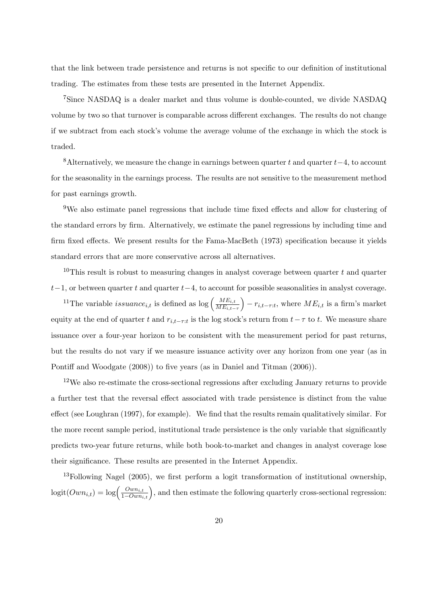that the link between trade persistence and returns is not specific to our definition of institutional trading. The estimates from these tests are presented in the Internet Appendix.

<sup>7</sup>Since NASDAQ is a dealer market and thus volume is double-counted, we divide NASDAQ volume by two so that turnover is comparable across different exchanges. The results do not change if we subtract from each stock's volume the average volume of the exchange in which the stock is traded.

<sup>8</sup> Alternatively, we measure the change in earnings between quarter t and quarter  $t-4$ , to account for the seasonality in the earnings process. The results are not sensitive to the measurement method for past earnings growth.

<sup>9</sup>We also estimate panel regressions that include time fixed effects and allow for clustering of the standard errors by firm. Alternatively, we estimate the panel regressions by including time and firm fixed effects. We present results for the Fama-MacBeth (1973) specification because it yields standard errors that are more conservative across all alternatives.

<sup>10</sup>This result is robust to measuring changes in analyst coverage between quarter t and quarter  $t-1$ , or between quarter t and quarter  $t-4$ , to account for possible seasonalities in analyst coverage.

<sup>11</sup>The variable *issuance*<sub>it</sub> is defined as log  $\left(\frac{ME_{i,t}}{ME_{i,t}}\right)$  $ME_{i,t-\tau}$  $r_{i,t-\tau:t}$ , where  $ME_{i,t}$  is a firm's market equity at the end of quarter t and  $r_{i,t-\tau:t}$  is the log stock's return from  $t-\tau$  to t. We measure share issuance over a four-year horizon to be consistent with the measurement period for past returns, but the results do not vary if we measure issuance activity over any horizon from one year (as in Pontiff and Woodgate (2008)) to five years (as in Daniel and Titman (2006)).

<sup>12</sup>We also re-estimate the cross-sectional regressions after excluding January returns to provide a further test that the reversal effect associated with trade persistence is distinct from the value effect (see Loughran (1997), for example). We find that the results remain qualitatively similar. For the more recent sample period, institutional trade persistence is the only variable that significantly predicts two-year future returns, while both book-to-market and changes in analyst coverage lose their significance. These results are presented in the Internet Appendix.

<sup>13</sup>Following Nagel (2005), we first perform a logit transformation of institutional ownership,  $logit(Own_{i,t}) = log(\frac{Own_{i,t}}{1-Own_{i,t}})$ , and then estimate the following quarterly cross-sectional regression: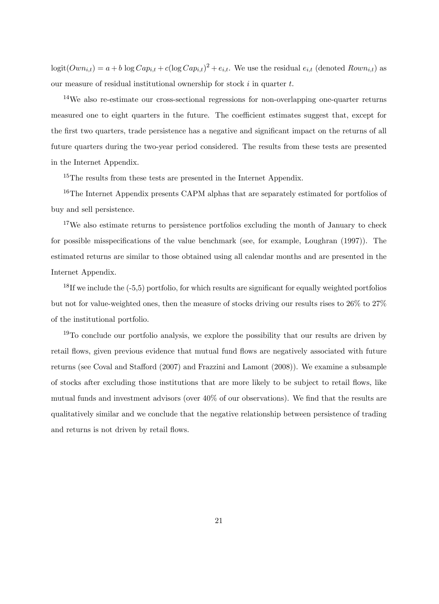$logit(Own_{i,t}) = a + b \log Cap_{i,t} + c(log Cap_{i,t})^2 + e_{i,t}$ . We use the residual  $e_{i,t}$  (denoted  $Rown_{i,t}$ ) as our measure of residual institutional ownership for stock  $i$  in quarter  $t$ .

<sup>14</sup>We also re-estimate our cross-sectional regressions for non-overlapping one-quarter returns measured one to eight quarters in the future. The coefficient estimates suggest that, except for the first two quarters, trade persistence has a negative and significant impact on the returns of all future quarters during the two-year period considered. The results from these tests are presented in the Internet Appendix.

<sup>15</sup>The results from these tests are presented in the Internet Appendix.

<sup>16</sup>The Internet Appendix presents CAPM alphas that are separately estimated for portfolios of buy and sell persistence.

<sup>17</sup>We also estimate returns to persistence portfolios excluding the month of January to check for possible misspecifications of the value benchmark (see, for example, Loughran (1997)). The estimated returns are similar to those obtained using all calendar months and are presented in the Internet Appendix.

 $^{18}$ If we include the (-5,5) portfolio, for which results are significant for equally weighted portfolios but not for value-weighted ones, then the measure of stocks driving our results rises to 26% to 27% of the institutional portfolio.

 $19$ To conclude our portfolio analysis, we explore the possibility that our results are driven by retail flows, given previous evidence that mutual fund flows are negatively associated with future returns (see Coval and Stafford (2007) and Frazzini and Lamont (2008)). We examine a subsample of stocks after excluding those institutions that are more likely to be subject to retail áows, like mutual funds and investment advisors (over  $40\%$  of our observations). We find that the results are qualitatively similar and we conclude that the negative relationship between persistence of trading and returns is not driven by retail flows.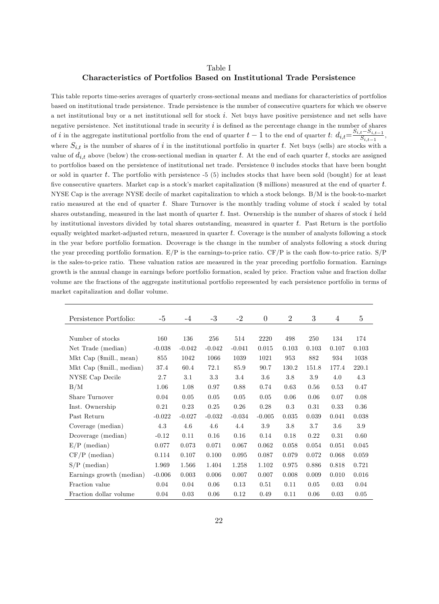#### Table I

### Characteristics of Portfolios Based on Institutional Trade Persistence

This table reports time-series averages of quarterly cross-sectional means and medians for characteristics of portfolios based on institutional trade persistence. Trade persistence is the number of consecutive quarters for which we observe a net institutional buy or a net institutional sell for stock  $i$ . Net buys have positive persistence and net sells have negative persistence. Net institutional trade in security  $i$  is defined as the percentage change in the number of shares of i in the aggregate institutional portfolio from the end of quarter  $t-1$  to the end of quarter  $t: d_{i,t} = \frac{S_{i,t}-S_{i,t-1}}{S_{i,t-1}}$  $\frac{t^{b} S_{i,t-1}}{S_{i,t-1}},$ where  $S_{i,t}$  is the number of shares of i in the institutional portfolio in quarter t. Net buys (sells) are stocks with a value of  $d_{i,t}$  above (below) the cross-sectional median in quarter t. At the end of each quarter t, stocks are assigned to portfolios based on the persistence of institutional net trade. Persistence 0 includes stocks that have been bought or sold in quarter t. The portfolio with persistence  $-5$  (5) includes stocks that have been sold (bought) for at least five consecutive quarters. Market cap is a stock's market capitalization (\$ millions) measured at the end of quarter  $t$ . NYSE Cap is the average NYSE decile of market capitalization to which a stock belongs. B/M is the book-to-market ratio measured at the end of quarter t. Share Turnover is the monthly trading volume of stock i scaled by total shares outstanding, measured in the last month of quarter t. Inst. Ownership is the number of shares of stock  $i$  held by institutional investors divided by total shares outstanding, measured in quarter  $t$ . Past Return is the portfolio equally weighted market-adjusted return, measured in quarter  $t$ . Coverage is the number of analysts following a stock in the year before portfolio formation. Dcoverage is the change in the number of analysts following a stock during the year preceding portfolio formation.  $E/P$  is the earnings-to-price ratio.  $CF/P$  is the cash flow-to-price ratio.  $S/P$ is the sales-to-price ratio. These valuation ratios are measured in the year preceding portfolio formation. Earnings growth is the annual change in earnings before portfolio formation, scaled by price. Fraction value and fraction dollar volume are the fractions of the aggregate institutional portfolio represented by each persistence portfolio in terms of market capitalization and dollar volume.

| Persistence Portfolio:    | $-5$     | $-4$     | $-3$     | $-2$     | $\theta$ | $\overline{2}$ | 3     | $\overline{4}$ | $\overline{5}$ |
|---------------------------|----------|----------|----------|----------|----------|----------------|-------|----------------|----------------|
|                           |          |          |          |          |          |                |       |                |                |
| Number of stocks          | 160      | 136      | 256      | 514      | 2220     | 498            | 250   | 134            | 174            |
| Net Trade (median)        | $-0.038$ | $-0.042$ | $-0.042$ | $-0.041$ | 0.015    | 0.103          | 0.103 | 0.107          | 0.103          |
| Mkt Cap (\$mill., mean)   | 855      | 1042     | 1066     | 1039     | 1021     | 953            | 882   | 934            | 1038           |
| Mkt Cap (\$mill., median) | 37.4     | 60.4     | 72.1     | 85.9     | 90.7     | 130.2          | 151.8 | 177.4          | 220.1          |
| NYSE Cap Decile           | 2.7      | $3.1\,$  | 3.3      | $3.4\,$  | 3.6      | 3.8            | 3.9   | 4.0            | 4.3            |
| B/M                       | 1.06     | 1.08     | 0.97     | 0.88     | 0.74     | 0.63           | 0.56  | 0.53           | 0.47           |
| Share Turnover            | 0.04     | 0.05     | 0.05     | 0.05     | 0.05     | 0.06           | 0.06  | 0.07           | 0.08           |
| Inst. Ownership           | 0.21     | 0.23     | 0.25     | 0.26     | 0.28     | 0.3            | 0.31  | 0.33           | 0.36           |
| Past Return               | $-0.022$ | $-0.027$ | $-0.032$ | $-0.034$ | $-0.005$ | 0.035          | 0.039 | 0.041          | 0.038          |
| Coverage (median)         | 4.3      | 4.6      | 4.6      | 4.4      | 3.9      | 3.8            | 3.7   | 3.6            | 3.9            |
| Dcoverage (median)        | $-0.12$  | 0.11     | 0.16     | 0.16     | 0.14     | 0.18           | 0.22  | 0.31           | 0.60           |
| $E/P$ (median)            | 0.077    | 0.073    | 0.071    | 0.067    | 0.062    | 0.058          | 0.054 | 0.051          | 0.045          |
| $CF/P$ (median)           | 0.114    | 0.107    | 0.100    | 0.095    | 0.087    | 0.079          | 0.072 | 0.068          | 0.059          |
| $S/P$ (median)            | 1.969    | 1.566    | 1.404    | 1.258    | 1.102    | 0.975          | 0.886 | 0.818          | 0.721          |
| Earnings growth (median)  | $-0.006$ | 0.003    | 0.006    | 0.007    | 0.007    | 0.008          | 0.009 | 0.010          | 0.016          |
| Fraction value            | 0.04     | 0.04     | 0.06     | 0.13     | 0.51     | 0.11           | 0.05  | 0.03           | 0.04           |
| Fraction dollar volume    | 0.04     | 0.03     | 0.06     | 0.12     | 0.49     | 0.11           | 0.06  | 0.03           | 0.05           |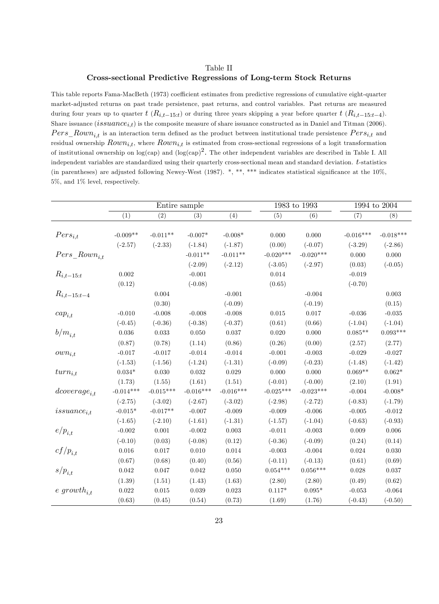### Table II Cross-sectional Predictive Regressions of Long-term Stock Returns

This table reports Fama-MacBeth (1973) coefficient estimates from predictive regressions of cumulative eight-quarter market-adjusted returns on past trade persistence, past returns, and control variables. Past returns are measured during four years up to quarter  $t$  ( $R_{i,t-15:t}$ ) or during three years skipping a year before quarter  $t$  ( $R_{i,t-15:t-4}$ ). Share issuance  $(issuance_{i,t})$  is the composite measure of share issuance constructed as in Daniel and Titman (2006).  $Pers\_Rown_{i,t}$  is an interaction term defined as the product between institutional trade persistence  $Pers_{i,t}$  and residual ownership  $Rown_{i,t}$ , where  $Rown_{i,t}$  is estimated from cross-sectional regressions of a logit transformation of institutional ownership on log(cap) and  $(\log(\text{cap})^2$ . The other independent variables are described in Table I. All independent variables are standardized using their quarterly cross-sectional mean and standard deviation. t-statistics (in parentheses) are adjusted following Newey-West (1987).  $*, **$ ,  $***$  indicates statistical significance at the 10%, 5%, and 1% level, respectively.

|                    |                |             | Entire sample |             |             | 1983 to 1993 | 1994 to 2004 |             |
|--------------------|----------------|-------------|---------------|-------------|-------------|--------------|--------------|-------------|
|                    | (1)            | (2)         | (3)           | (4)         | (5)         | (6)          | (7)          | (8)         |
|                    |                |             |               |             |             |              |              |             |
| $Pers_{i,t}$       | $-0.009**$     | $-0.011**$  | $-0.007*$     | $-0.008*$   | 0.000       | 0.000        | $-0.016***$  | $-0.018***$ |
|                    | $(-2.57)$      | $(-2.33)$   | $(-1.84)$     | $(-1.87)$   | (0.00)      | $(-0.07)$    | $(-3.29)$    | $(-2.86)$   |
| $Pers\_Rown_{i,t}$ |                |             | $-0.011**$    | $-0.011**$  | $-0.020***$ | $-0.020***$  | 0.000        | 0.000       |
|                    |                |             | $(-2.09)$     | $(-2.12)$   | $(-3.05)$   | $(-2.97)$    | (0.03)       | $(-0.05)$   |
| $R_{i,t-15:t}$     | $\rm 0.002$    |             | $-0.001$      |             | 0.014       |              | $-0.019$     |             |
|                    | (0.12)         |             | $(-0.08)$     |             | (0.65)      |              | $(-0.70)$    |             |
| $R_{i,t-15:t-4}$   |                | 0.004       |               | $-0.001$    |             | $-0.004$     |              | 0.003       |
|                    |                | (0.30)      |               | $(-0.09)$   |             | $(-0.19)$    |              | (0.15)      |
| $cap_{i,t}$        | $-0.010$       | $-0.008$    | $-0.008$      | $-0.008$    | 0.015       | 0.017        | $-0.036$     | $-0.035$    |
|                    | $(-0.45)$      | $(-0.36)$   | $(-0.38)$     | $(-0.37)$   | (0.61)      | (0.66)       | $(-1.04)$    | $(-1.04)$   |
| $b/m_{i,t}$        | 0.036          | 0.033       | 0.050         | 0.037       | 0.020       | 0.000        | $0.085**$    | $0.093***$  |
|                    | (0.87)         | (0.78)      | (1.14)        | (0.86)      | (0.26)      | (0.00)       | (2.57)       | (2.77)      |
| $own_{i,t}$        | $-0.017$       | $-0.017$    | $-0.014$      | $-0.014$    | $-0.001$    | $-0.003$     | $-0.029$     | $-0.027$    |
|                    | $(-1.53)$      | $(-1.56)$   | $(-1.24)$     | $(-1.31)$   | $(-0.09)$   | $(-0.23)$    | $(-1.48)$    | $(-1.42)$   |
| $turn_{i,t}$       | $0.034^{\ast}$ | 0.030       | 0.032         | 0.029       | 0.000       | 0.000        | $0.069**$    | $0.062*$    |
|                    | (1.73)         | (1.55)      | (1.61)        | (1.51)      | $(-0.01)$   | $(-0.00)$    | (2.10)       | (1.91)      |
| $dcoverage_{i,t}$  | $-0.014***$    | $-0.015***$ | $-0.016***$   | $-0.016***$ | $-0.025***$ | $-0.023***$  | $-0.004$     | $-0.008*$   |
|                    | $(-2.75)$      | $(-3.02)$   | $(-2.67)$     | $(-3.02)$   | $(-2.98)$   | $(-2.72)$    | $(-0.83)$    | $(-1.79)$   |
| $is suance_{i,t}$  | $-0.015^*$     | $-0.017**$  | $-0.007$      | $-0.009$    | $-0.009$    | $-0.006$     | $-0.005$     | $-0.012$    |
|                    | $(-1.65)$      | $(-2.10)$   | $(-1.61)$     | $(-1.31)$   | $(-1.57)$   | $(-1.04)$    | $(-0.63)$    | $(-0.93)$   |
| $e/p_{i,t}$        | $-0.002$       | $0.001\,$   | $-0.002$      | 0.003       | $-0.011$    | $-0.003$     | 0.009        | 0.006       |
|                    | $(-0.10)$      | (0.03)      | $(-0.08)$     | (0.12)      | $(-0.36)$   | $(-0.09)$    | (0.24)       | (0.14)      |
| $cf/p_{i,t}$       | 0.016          | 0.017       | 0.010         | $\,0.014\,$ | $-0.003$    | $-0.004$     | $0.024\,$    | $0.030\,$   |
|                    | (0.67)         | (0.68)      | (0.40)        | (0.56)      | $(-0.11)$   | $(-0.13)$    | (0.61)       | (0.69)      |
| $s/p_{i,t}$        | 0.042          | 0.047       | 0.042         | 0.050       | $0.054***$  | $0.056***$   | 0.028        | 0.037       |
|                    | (1.39)         | (1.51)      | (1.43)        | (1.63)      | (2.80)      | (2.80)       | (0.49)       | (0.62)      |
| $e\ growth_{i,t}$  | $\,0.022\,$    | $\,0.015\,$ | $\,0.039\,$   | 0.023       | $0.117*$    | $0.095*$     | $-0.053$     | $-0.064$    |
|                    | (0.63)         | (0.45)      | (0.54)        | (0.73)      | (1.69)      | (1.76)       | $(-0.43)$    | $(-0.50)$   |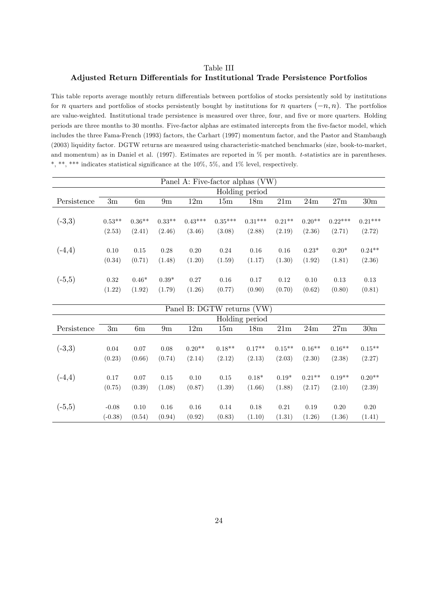## Table III Adjusted Return Differentials for Institutional Trade Persistence Portfolios

This table reports average monthly return differentials between portfolios of stocks persistently sold by institutions for *n* quarters and portfolios of stocks persistently bought by institutions for *n* quarters  $(-n, n)$ . The portfolios are value-weighted. Institutional trade persistence is measured over three, four, and five or more quarters. Holding periods are three months to 30 months. Five-factor alphas are estimated intercepts from the five-factor model, which includes the three Fama-French (1993) factors, the Carhart (1997) momentum factor, and the Pastor and Stambaugh (2003) liquidity factor. DGTW returns are measured using characteristic-matched benchmarks (size, book-to-market, and momentum) as in Daniel et al. (1997). Estimates are reported in % per month. t-statistics are in parentheses.  $*,$  \*\*, \*\*\* indicates statistical significance at the 10%, 5%, and 1% level, respectively.

|             |          |          |          |           |           | Panel A: Five-factor alphas (VW) |          |          |           |                 |
|-------------|----------|----------|----------|-----------|-----------|----------------------------------|----------|----------|-----------|-----------------|
|             |          |          |          |           |           | Holding period                   |          |          |           |                 |
| Persistence | 3m       | 6m       | 9m       | 12m       | 15m       | 18 <sub>m</sub>                  | 21m      | 24m      | 27m       | 30 <sub>m</sub> |
|             |          |          |          |           |           |                                  |          |          |           |                 |
| $(-3,3)$    | $0.53**$ | $0.36**$ | $0.33**$ | $0.43***$ | $0.35***$ | $0.31***$                        | $0.21**$ | $0.20**$ | $0.22***$ | $0.21***$       |
|             | (2.53)   | (2.41)   | (2.46)   | (3.46)    | (3.08)    | (2.88)                           | (2.19)   | (2.36)   | (2.71)    | (2.72)          |
|             |          |          |          |           |           |                                  |          |          |           |                 |
| $(-4,4)$    | 0.10     | 0.15     | 0.28     | 0.20      | 0.24      | 0.16                             | 0.16     | $0.23*$  | $0.20*$   | $0.24**$        |
|             | (0.34)   | (0.71)   | (1.48)   | (1.20)    | (1.59)    | (1.17)                           | (1.30)   | (1.92)   | (1.81)    | (2.36)          |
|             |          |          |          |           |           |                                  |          |          |           |                 |
| $(-5,5)$    | 0.32     | $0.46*$  | $0.39*$  | 0.27      | 0.16      | 0.17                             | 0.12     | 0.10     | 0.13      | 0.13            |
|             | (1.22)   | (1.92)   | (1.79)   | (1.26)    | (0.77)    | (0.90)                           | (0.70)   | (0.62)   | (0.80)    | (0.81)          |

|             |           |        |                |          | Panel B: DGTW returns (VW) |                 |           |          |          |                 |
|-------------|-----------|--------|----------------|----------|----------------------------|-----------------|-----------|----------|----------|-----------------|
|             |           |        |                |          |                            | Holding period  |           |          |          |                 |
| Persistence | 3m        | 6m     | 9 <sub>m</sub> | 12m      | 15m                        | 18 <sub>m</sub> | 21m       | 24m      | 27m      | 30 <sub>m</sub> |
|             |           |        |                |          |                            |                 |           |          |          |                 |
| $(-3,3)$    | 0.04      | 0.07   | 0.08           | $0.20**$ | $0.18**$                   | $0.17**$        | $0.15***$ | $0.16**$ | $0.16**$ | $0.15***$       |
|             | (0.23)    | (0.66) | (0.74)         | (2.14)   | (2.12)                     | (2.13)          | (2.03)    | (2.30)   | (2.38)   | (2.27)          |
|             |           |        |                |          |                            |                 |           |          |          |                 |
| $(-4,4)$    | 0.17      | 0.07   | 0.15           | 0.10     | 0.15                       | $0.18*$         | $0.19*$   | $0.21**$ | $0.19**$ | $0.20**$        |
|             | (0.75)    | (0.39) | (1.08)         | (0.87)   | (1.39)                     | (1.66)          | (1.88)    | (2.17)   | (2.10)   | (2.39)          |
|             |           |        |                |          |                            |                 |           |          |          |                 |
| $(-5,5)$    | $-0.08$   | 0.10   | 0.16           | 0.16     | 0.14                       | 0.18            | 0.21      | 0.19     | 0.20     | 0.20            |
|             | $(-0.38)$ | (0.54) | (0.94)         | (0.92)   | (0.83)                     | (1.10)          | (1.31)    | (1.26)   | (1.36)   | (1.41)          |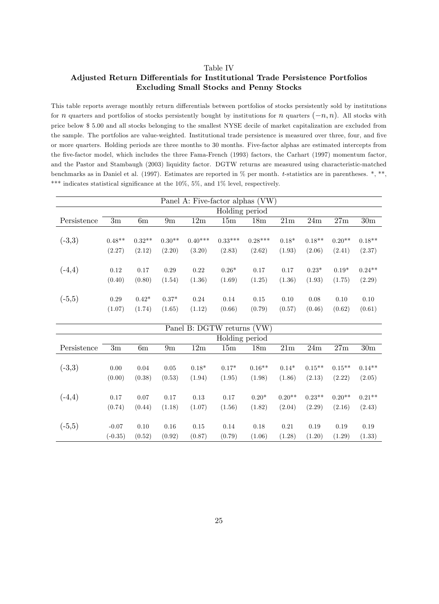#### Table IV

### Adjusted Return Differentials for Institutional Trade Persistence Portfolios Excluding Small Stocks and Penny Stocks

This table reports average monthly return differentials between portfolios of stocks persistently sold by institutions for *n* quarters and portfolios of stocks persistently bought by institutions for *n* quarters  $(-n, n)$ . All stocks with price below \$ 5.00 and all stocks belonging to the smallest NYSE decile of market capitalization are excluded from the sample. The portfolios are value-weighted. Institutional trade persistence is measured over three, four, and five or more quarters. Holding periods are three months to 30 months. Five-factor alphas are estimated intercepts from the Öve-factor model, which includes the three Fama-French (1993) factors, the Carhart (1997) momentum factor, and the Pastor and Stambaugh (2003) liquidity factor. DGTW returns are measured using characteristic-matched benchmarks as in Daniel et al. (1997). Estimates are reported in % per month. t-statistics are in parentheses. \*, \*\*, \*\*\* indicates statistical significance at the  $10\%$ ,  $5\%$ , and  $1\%$  level, respectively.

|             |           |          |               |           | Panel A: Five-factor alphas (VW) |                 |                |          |                |                 |
|-------------|-----------|----------|---------------|-----------|----------------------------------|-----------------|----------------|----------|----------------|-----------------|
|             |           |          |               |           | Holding period                   |                 |                |          |                |                 |
| Persistence | 3m        | 6m       | $9\mathrm{m}$ | 12m       | 15m                              | 18 <sub>m</sub> | 21m            | 24m      | 27m            | 30 <sub>m</sub> |
|             |           |          |               |           |                                  |                 |                |          |                |                 |
| $(-3,3)$    | $0.48**$  | $0.32**$ | $0.30**$      | $0.40***$ | $0.33***$                        | $0.28***$       | $0.18*$        | $0.18**$ | $0.20**$       | $0.18**$        |
|             | (2.27)    | (2.12)   | (2.20)        | (3.20)    | (2.83)                           | (2.62)          | (1.93)         | (2.06)   | (2.41)         | (2.37)          |
|             |           |          |               |           |                                  |                 |                |          |                |                 |
| $(-4,4)$    | 0.12      | 0.17     | 0.29          | 0.22      | $0.26*$                          | 0.17            | 0.17           | $0.23*$  | $0.19*$        | $0.24**$        |
|             | (0.40)    | (0.80)   | (1.54)        | (1.36)    | (1.69)                           | (1.25)          | (1.36)         | (1.93)   | (1.75)         | (2.29)          |
|             |           |          |               |           |                                  |                 |                |          |                |                 |
| $(-5,5)$    | 0.29      | $0.42*$  | $0.37*$       | 0.24      | 0.14                             | $0.15\,$        | 0.10           | 0.08     | 0.10           | 0.10            |
|             | (1.07)    | (1.74)   | (1.65)        | (1.12)    | (0.66)                           | (0.79)          | (0.57)         | (0.46)   | (0.62)         | (0.61)          |
|             |           |          |               |           |                                  |                 |                |          |                |                 |
|             |           |          |               |           | Panel B: DGTW returns (VW)       |                 |                |          |                |                 |
|             |           |          |               |           | Holding period                   |                 |                |          |                |                 |
| Persistence | 3m        | 6m       | 9m            | 12m       | 15m                              | 18 <sub>m</sub> | $21\mathrm{m}$ | 24m      | $27\mathrm{m}$ | 30m             |
|             |           |          |               |           |                                  |                 |                |          |                |                 |
| $(-3,3)$    | 0.00      | $0.04\,$ | 0.05          | $0.18*$   | $0.17*$                          | $0.16**$        | $0.14*$        | $0.15**$ | $0.15**$       | $0.14**$        |
|             | (0.00)    | (0.38)   | (0.53)        | (1.94)    | (1.95)                           | (1.98)          | (1.86)         | (2.13)   | (2.22)         | (2.05)          |
|             |           |          |               |           |                                  |                 |                |          |                |                 |
| $(-4,4)$    | 0.17      | 0.07     | $0.17\,$      | 0.13      | 0.17                             | $0.20*$         | $0.20**$       | $0.23**$ | $0.20**$       | $0.21**$        |
|             | (0.74)    | (0.44)   | (1.18)        | (1.07)    | (1.56)                           | (1.82)          | (2.04)         | (2.29)   | (2.16)         | (2.43)          |
|             |           |          |               |           |                                  |                 |                |          |                |                 |
| $(-5,5)$    | $-0.07$   | 0.10     | $0.16\,$      | $0.15\,$  | $0.14\,$                         | 0.18            | 0.21           | 0.19     | 0.19           | 0.19            |
|             | $(-0.35)$ | (0.52)   | (0.92)        | (0.87)    | (0.79)                           | (1.06)          | (1.28)         | (1.20)   | (1.29)         | (1.33)          |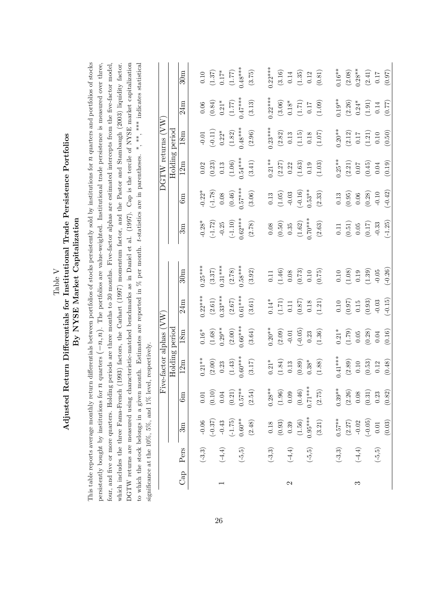|               |                      |                      |            | significance at the $10\%$ , $5\%$ , and $1\%$ level, respectively |                 |                                               | to which the stock belongs in a given month. Estimates are reported in % per month. t-statistics are in parentheses.<br>DGTW returns are measured using characteristic-matched benchmarks as in Daniel et al. (1997). |                      |                      |                |                                                         | Cap is the tercile of NYSE market capitalization<br>, **, *** indicates statistical |                                               |
|---------------|----------------------|----------------------|------------|--------------------------------------------------------------------|-----------------|-----------------------------------------------|-----------------------------------------------------------------------------------------------------------------------------------------------------------------------------------------------------------------------|----------------------|----------------------|----------------|---------------------------------------------------------|-------------------------------------------------------------------------------------|-----------------------------------------------|
|               |                      |                      | Ė          | ve-factor alphas (VW                                               |                 |                                               |                                                                                                                                                                                                                       |                      |                      |                | DGTW returns (VW                                        |                                                                                     |                                               |
|               |                      |                      |            | Holding period                                                     |                 |                                               |                                                                                                                                                                                                                       |                      |                      | Holding period |                                                         |                                                                                     |                                               |
| Cap           | Pers                 | 3m                   | 6m         | 12m                                                                | 18 <sub>m</sub> | 24m                                           | $30\mathrm{m}$                                                                                                                                                                                                        | 3m                   | Gm                   | 12m            | 18 <sub>m</sub>                                         | 24m                                                                                 | 30 <sub>m</sub>                               |
|               | $(-3,3)$             | $-0.06$              | $0.01\,$   | $0.21***$                                                          | $0.16^*$        | $0.22***$                                     | $0.25***$                                                                                                                                                                                                             | $-0.28*$             | $-0.22*$             | $0.02\,$       | $-0.01$                                                 | $0.06\,$                                                                            | $0.10\,$                                      |
|               |                      | $(-0.37)$            | (0.10)     | (2.00)                                                             | (1.68)          | (2.61)                                        | (3.37)                                                                                                                                                                                                                | $(-1.72)$            | $(-1.78)$            | (0.23)         | $(-0.11)$                                               | $(0.84)$                                                                            | $(1.37)$                                      |
|               | $\left( -4,4\right)$ | $-0.43$              | $0.04\,$   | 0.23                                                               | $0.29**$        | $0.33***$                                     | $0.31***$                                                                                                                                                                                                             | $-0.25$              | $0.08\,$             | $\!0.13$       | $0.22*$                                                 | $0.21^{\ast}$                                                                       | $0.17*$                                       |
|               |                      | $(-1.75)$            | $(0.21)$   | (1.43)                                                             | (2.00)          | $(2.67)$                                      | (2.78)                                                                                                                                                                                                                | $(-1.10)$            | (0.46)               | (1.06)         | (1.82)                                                  | $(1.77)$                                                                            | $(1.77)$                                      |
|               | $(-5, 5)$            | $0.60**$             | $0.57***$  | $0.60***$                                                          | $0.66***$       | $0.61***$                                     | $0.58***$                                                                                                                                                                                                             | $0.62***$            | $0.57***$            | $0.54***$      | $0.48***$                                               | $0.47***$                                                                           | $0.48***$                                     |
|               |                      | (2.48)               | (2.54)     | (3.17)                                                             | (3.64)          | (3.61)                                        | (3.92)                                                                                                                                                                                                                | (2.78)               | (3.06)               | (3.41)         | (2.96)                                                  | (3.13)                                                                              | (3.75)                                        |
|               | $(-3,3)$             | $0.18\,$             | $0.28***$  | $0.21^{\ast}$                                                      | $0.20***$       | $0.14^{*}$                                    | $0.11\,$                                                                                                                                                                                                              | $0.08\,$             | $\!0.13$             | $0.21***$      | $0.23***$                                               | $0.22***$                                                                           | $0.22***$                                     |
|               |                      | $\left( 0.93\right)$ | $(1.96)\,$ | (1.84)                                                             | (2.09)          | $\begin{array}{c} (1.71) \\ 0.11 \end{array}$ | $(1.46)$                                                                                                                                                                                                              | (0.50)               | $\left( 1.05\right)$ | $(2.27)$       |                                                         | (3.06)                                                                              | $(3.16)$                                      |
| $\mathcal{C}$ | $\left( -4,4\right)$ | 0.39                 | 0.09       | $\!0.13$                                                           | $-0.01$         |                                               | $0.08\,$                                                                                                                                                                                                              | $0.35\,$             | $-0.03$              | 0.22           |                                                         | $0.18*$                                                                             | $\rm 0.14$                                    |
|               |                      | (1.56)               | $(0.46)$   | (0.89)                                                             | $(-0.05)$       | $(0.87)$                                      |                                                                                                                                                                                                                       | $(1.62)$             | $(-0.16)$            | (1.63)         | $\begin{array}{c} (2.82) \\ 0.13 \\ (1.15) \end{array}$ | (1.71)                                                                              | (1.35)                                        |
|               | $(-5, 5)$            | $0.95***$            | $0.71***$  | $0.38*$                                                            | 0.23            | $0.18\,$                                      | $\begin{array}{c} (0.73) \\ 0.10 \end{array}$                                                                                                                                                                         | $0.70***$            | $0.53**$             | $\rm 0.19$     | $0.18\,$                                                | $0.17\,$                                                                            | $\rm 0.12$                                    |
|               |                      | (3.21)               | $(2.75)$   | (1.88)                                                             | (1.36)          | (1.21)                                        | (0.75)                                                                                                                                                                                                                | $\left( 2.63\right)$ | (2.33)               | (1.03)         | (1.07)                                                  | (1.09)                                                                              | $(0.81)$                                      |
|               | $(-3,3)$             | $0.57***$            | $0.39**$   | $0.41***$                                                          | $0.21^*$        | $0.10\,$                                      | $0.10\,$                                                                                                                                                                                                              | $0.11\,$             | $\!0.13$             | $0.25***$      | $0.20**$                                                | $0.19***$                                                                           | $0.16***$                                     |
|               |                      | (2.27)               | (2.26)     | (2.89)                                                             | (1.79)          | $\begin{array}{c} (0.97) \\ 0.15 \end{array}$ | (1.08)                                                                                                                                                                                                                | (0.51)               | (0.95)               | (2.21)         | (2.12)                                                  | $(2.26)$<br>0.24*                                                                   | $(2.08)$                                      |
| S             | $\left( -4,4\right)$ | $-0.02$              | $0.08\,$   | $0.10\,$                                                           | $0.05\,$        |                                               | $0.19\,$                                                                                                                                                                                                              | $0.05\,$             | $0.06\,$             | $0.07\,$       | $0.17\,$                                                |                                                                                     | $0.28**$                                      |
|               |                      | $(-0.05)$            | $(0.31)$   | (0.53)                                                             | (0.28)          | (0.93)                                        | (1.39)                                                                                                                                                                                                                | (0.17)               | (0.28)               | (0.45)         | (1.21)                                                  | (1.91)                                                                              | $\begin{array}{c} (2.41) \\ 0.17 \end{array}$ |
|               | $(-5, 5)$            | $\!0.01\!$           | 0.23       | 0.12                                                               | $0.04\,$        | $-0.03$                                       | $-0.05$                                                                                                                                                                                                               | $-0.33$              | $-0.10$              | $0.04\,$       | 0.10                                                    | $0.14\,$                                                                            |                                               |
|               |                      | (0.03)               | (0.82)     | (0.48)                                                             | (0.16)          | $(-0.15)$                                     | $(-0.26)$                                                                                                                                                                                                             | $(-1.25)$            | $(-0.42)$            | (0.19)         | (0.50)                                                  | (0.77)                                                                              | $(0.97)$                                      |

 ${\rm Table ~V}$  Adjusted Return Differentials for Institutional Trade Persistence Portfolios Adjusted Return Differentials for Institutional Trade Persistence Portfolios By NYSE Market Capitalization By NYSE Market Capitalization This table reports average monthly return differentials between portfolios of stocks persistently sold by institutions for  $n$  quarters and portfolios of stocks persistently bought by institutions for  $n$  quarters  $(-n, n)$ . The portfolios are value-weighted. Institutional trade persistence is measured over three, This table reports average monthly return differentials between portfolios of stocks persistently sold by institutions for  $n$  quarters and portfolios of stocks persistently bought by institutions for  $n$  quarters  $(-n, n)$ . The portfolios are value-weighted. Institutional trade persistence is measured over three, four, and five or more quarters. Holding periods are three months to 30 months. Five-factor alphas are estimated intercepts from the five-factor model, four, and Öve or more quarters. Holding periods are three months to 30 months. Five-factor alphas are estimated intercepts from the Öve-factor model, which includes the three Fama-French (1993) factors, the Carhart (1997) momentum factor, and the Pastor and Stambaugh (2003) liquidity factor. whic DGT to  $w$ signi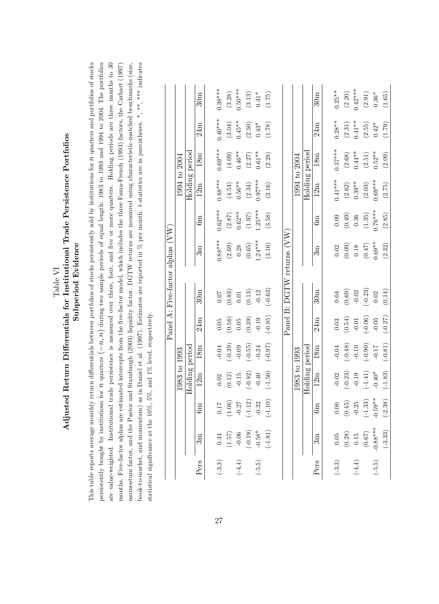| Table VI | $\alpha$ rtfol<br>Differentials for Institutional Trade Persistence Po | d Evidenc<br>ubperiod |
|----------|------------------------------------------------------------------------|-----------------------|
|          | <b>Adjusted Return</b>                                                 |                       |

This table reports average monthly return differentials between portfolios of stocks persistently sold by institutions for  $n$  quarters and portfolios of stocks persistently bought by institutions for  $n$  quarters  $(-n, n)$  during two sample periods of equal length: 1983 to 1993 and 1994 to 2004. The portfolios book-to-market, and momentum) as in Daniel et al. (1997). Estimates are reported in % per month. t-statistics are in parentheses. \*, \*\*, \*\*\* indicates are value-weighted. Institutional trade persistence is measured over three, four, and five or more quarters. Holding periods are three months to 30 momentum factor, and the Pastor and Stambaugh (2003) liquidity factor. DGTW returns are measured using characteristic-matched benchmarks (size, This table reports average monthly return differentials between portfolios of stocks persistently sold by institutions for  $n$  quarters and portfolios of stocks persistently bought by institutions for  $n$  quarters  $(-n, n)$  during two sample periods of equal length: 1983 to 1993 and 1994 to 2004. The portfolios are value-weighted. Institutional trade persistence is measured over three, four, and Öve or more quarters. Holding periods are three months to 30 months. Five-factor alphas are estimated intercepts from the five-factor model, which includes the three Fama-French (1993) factors, the Carhart (1997) momentum factor, and the Pastor and Stambaugh (2003) liquidity factor. DGTW returns are measured using characteristic-matched benchmarks (size, book-to-market, and momentum) as in Daniel et al. (1997). Estimates are reported in % per month. t-statistics are in parentheses. \*, \*\*, \*\*\* indicates months. Five-factor alphas are estimated intercepts from the Öve-factor model, which includes the three Fama-French (1993) factors, the Carhart (1997) statistical significance at the 10%, 5%, and 1% level, respectively. statistical significance at the  $10\%$ ,  $5\%$ , and  $1\%$  level, respectively.

|                      |            |                   |                     |                 |           |                 | Panel A: Five-factor alphas (VW |           |                      |                 |           |                 |
|----------------------|------------|-------------------|---------------------|-----------------|-----------|-----------------|---------------------------------|-----------|----------------------|-----------------|-----------|-----------------|
|                      |            |                   | 1983 to 1993        |                 |           |                 |                                 |           |                      | 1994 to 2004    |           |                 |
|                      |            |                   | Holding period      |                 |           |                 |                                 |           | Holding period       |                 |           |                 |
| Pers                 | 3m         | 6m                | 12m                 | 18 <sub>m</sub> | 24m       | $30\mathrm{m}$  | 3m                              | Э         | 12m                  | 18 <sub>m</sub> | 24m       | 30 <sub>m</sub> |
| $(-3,3)$             | $\rm 0.34$ | $0.17\,$          | 0.02                | $-0.04$         | $0.05\,$  | <b>10:0</b>     | $0.88***$                       | $0.62***$ | $0.88***$            | $0.69***$       | $0.40***$ | $0.38***$       |
|                      | (1.57)     |                   | $\left(0.12\right)$ | $(-0.39)$       | (0.56)    | (0.83)          | $(2.69)$                        | $(2.87)$  | (4.54)               | (4.09)          | (3.04)    | (3.28)          |
| $(-4, 4)$            | $-0.06$    | $(1.06)$<br>-0.27 | $-0.15$             | $-0.09$         | $0.05\,$  | $\!0.01\!$      | 0.28                            | $0.62**$  | $0.56**$             | $0.46***$       | $0.45**$  | 1.50****        |
|                      | $(-0.19)$  | $(-1.12)$         | $(-0.82)$           | $(-0.55)$       | (0.39)    | (0.13)          | (0.65)                          | (1.97)    | (2.34)               | (2.27)          | (2.50)    | (3.13)          |
| $(-5,5)$             | $-0.58*$   | $-0.32$           | $-0.40$             | $-0.24$         | $-0.19$   | $-0.12$         | $1.24***$                       | $1.25***$ | $0.97***$            | $0.61**$        | $0.43*$   | $0.41*$         |
|                      | $(-1.81)$  | $(-1.10)$         | $(-1.50)$           | $(70.0-)$       | $(-0.85)$ | $(-0.63)$       | (3.16)                          | (3.58)    | (3.16)               | (2.28)          | (1.78)    | (1.75)          |
|                      |            |                   |                     |                 |           |                 |                                 |           |                      |                 |           |                 |
|                      |            |                   |                     |                 |           | Panel B: DGTW   | returns (VW                     |           |                      |                 |           |                 |
|                      |            |                   | 1983 to 1993        |                 |           |                 |                                 |           |                      | 1994 to 2004    |           |                 |
|                      |            |                   | Holding period      |                 |           |                 |                                 |           | Holding period       |                 |           |                 |
| Pers                 | $\sin$     | 6m                | 12m                 | 18 <sub>m</sub> | 24m       | 30 <sub>m</sub> | $3\mathrm{m}$                   | m<br>G    | 12m                  | 18 <sub>m</sub> | 24m       | 30 <sub>m</sub> |
|                      |            |                   |                     |                 |           |                 |                                 |           |                      |                 |           |                 |
| $(-3,3)$             | 0.05       | $0.06\,$          | $-0.02$             | $-0.04$         | 0.03      | 0.04            | 0.02                            | 0.09      | $0.41***$            | $0.37***$       | $0.28***$ | $0.25**$        |
|                      | $(0.28)$   | (0.45)            | $(-0.23)$           | $(-0.48)$       | (0.54)    | (0.69)          | $(0.09)$<br>0.18                | (0.49)    | $(2.62)$             | (2.68)          | $(2.31)$  | (2.20)          |
| $\left( -4,4\right)$ | 0.15       | $-0.25$           | $-0.19$             | $-0.10$         | $-0.01$   | $-0.02$         |                                 | 0.36      | $0.39**$             | $0.44**$        | $0.41***$ | $0.42***$       |
|                      | (0.67)     | $(-1.33)$         | $(-1.41)$           | $(-0.90)$       | $(-0.06)$ | $(-0.23)$       | $(0.47)$                        | (1.35)    | $\left( 2.03\right)$ | (2.51)          | (2.55)    | (2.91)          |
| $(-5, 5)$            | $-0.88***$ | $-0.59**$         | $-0.40*$            | $-0.17$         | $-0.05$   | 0.02            | $0.69**$                        | $0.76***$ | $0.69***$            | $0.52***$       | $0.42*$   | $0.36^{\ast}$   |
|                      | $(-3.33)$  | $(-2.38)$         | $(-1.83)$           | $(-0.81)$       | $(-0.27)$ | (0.14)          | (2.32)                          | (2.85)    | (2.75)               | (2.09)          | (1.79)    | (1.65)          |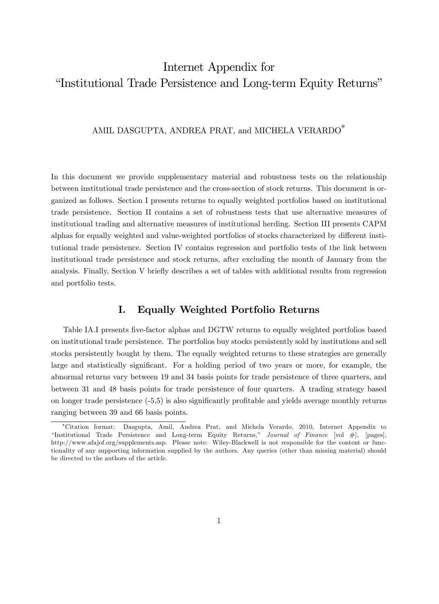# Internet Appendix for "Institutional Trade Persistence and Long-term Equity Returns"

# AMIL DASGUPTA, ANDREA PRAT, and MICHELA VERARDO<sup>\*</sup>

In this document we provide supplementary material and robustness tests on the relationship between institutional trade persistence and the cross-section of stock returns. This document is organized as follows. Section I presents returns to equally weighted portfolios based on institutional trade persistence. Section II contains a set of robustness tests that use alternative measures of institutional trading and alternative measures of institutional herding. Section III presents CAPM alphas for equally weighted and value-weighted portfolios of stocks characterized by different institutional trade persistence. Section IV contains regression and portfolio tests of the link between institutional trade persistence and stock returns, after excluding the month of January from the analysis. Finally, Section V briefly describes a set of tables with additional results from regression and portfolio tests.

# I. Equally Weighted Portfolio Returns

Table IA.I presents five-factor alphas and DGTW returns to equally weighted portfolios based on institutional trade persistence. The portfolios buy stocks persistently sold by institutions and sell stocks persistently bought by them. The equally weighted returns to these strategies are generally large and statistically significant. For a holding period of two years or more, for example, the abnormal returns vary between 19 and 34 basis points for trade persistence of three quarters, and between 31 and 48 basis points for trade persistence of four quarters. A trading strategy based on longer trade persistence  $(-5,5)$  is also significantly profitable and yields average monthly returns ranging between 39 and 66 basis points.

Citation format: Dasgupta, Amil, Andrea Prat, and Michela Verardo, 2010, Internet Appendix to "Institutional Trade Persistence and Long-term Equity Returns," Journal of Finance [vol #], [pages], http://www.afajof.org/supplements.asp. Please note: Wiley-Blackwell is not responsible for the content or functionality of any supporting information supplied by the authors. Any queries (other than missing material) should be directed to the authors of the article.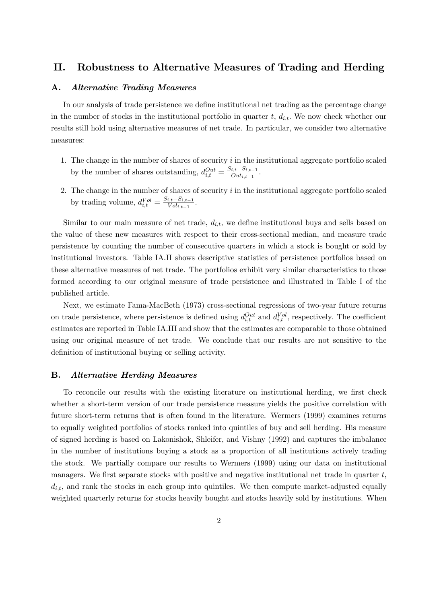# II. Robustness to Alternative Measures of Trading and Herding

#### A. Alternative Trading Measures

In our analysis of trade persistence we define institutional net trading as the percentage change in the number of stocks in the institutional portfolio in quarter  $t, d_{i,t}$ . We now check whether our results still hold using alternative measures of net trade. In particular, we consider two alternative measures:

- 1. The change in the number of shares of security  $i$  in the institutional aggregate portfolio scaled by the number of shares outstanding,  $d_{i,t}^{Out} = \frac{S_{i,t} - S_{i,t-1}}{Out_{i,t-1}}$  $\frac{i,t-\beta i,t-1}{Out_{i,t-1}}$ .
- 2. The change in the number of shares of security  $i$  in the institutional aggregate portfolio scaled by trading volume,  $d_{i,t}^{Vol} = \frac{S_{i,t} - S_{i,t-1}}{Vol_{i,t-1}}$  $\frac{i,t-\varnothing i,t-1}{Vol_{i,t-1}}$ .

Similar to our main measure of net trade,  $d_{i,t}$ , we define institutional buys and sells based on the value of these new measures with respect to their cross-sectional median, and measure trade persistence by counting the number of consecutive quarters in which a stock is bought or sold by institutional investors. Table IA.II shows descriptive statistics of persistence portfolios based on these alternative measures of net trade. The portfolios exhibit very similar characteristics to those formed according to our original measure of trade persistence and illustrated in Table I of the published article.

Next, we estimate Fama-MacBeth (1973) cross-sectional regressions of two-year future returns on trade persistence, where persistence is defined using  $d_{i,t}^{Out}$  and  $d_{i,t}^{Vol}$ , respectively. The coefficient estimates are reported in Table IA.III and show that the estimates are comparable to those obtained using our original measure of net trade. We conclude that our results are not sensitive to the definition of institutional buying or selling activity.

#### B. Alternative Herding Measures

To reconcile our results with the existing literature on institutional herding, we first check whether a short-term version of our trade persistence measure yields the positive correlation with future short-term returns that is often found in the literature. Wermers (1999) examines returns to equally weighted portfolios of stocks ranked into quintiles of buy and sell herding. His measure of signed herding is based on Lakonishok, Shleifer, and Vishny (1992) and captures the imbalance in the number of institutions buying a stock as a proportion of all institutions actively trading the stock. We partially compare our results to Wermers (1999) using our data on institutional managers. We first separate stocks with positive and negative institutional net trade in quarter  $t$ ,  $d_{i,t}$ , and rank the stocks in each group into quintiles. We then compute market-adjusted equally weighted quarterly returns for stocks heavily bought and stocks heavily sold by institutions. When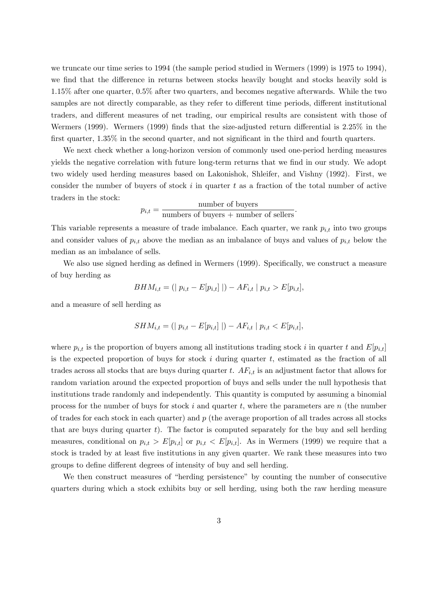we truncate our time series to 1994 (the sample period studied in Wermers (1999) is 1975 to 1994), we find that the difference in returns between stocks heavily bought and stocks heavily sold is 1.15% after one quarter, 0.5% after two quarters, and becomes negative afterwards. While the two samples are not directly comparable, as they refer to different time periods, different institutional traders, and different measures of net trading, our empirical results are consistent with those of Wermers (1999). Wermers (1999) finds that the size-adjusted return differential is  $2.25\%$  in the first quarter,  $1.35\%$  in the second quarter, and not significant in the third and fourth quarters.

We next check whether a long-horizon version of commonly used one-period herding measures yields the negative correlation with future long-term returns that we find in our study. We adopt two widely used herding measures based on Lakonishok, Shleifer, and Vishny (1992). First, we consider the number of buyers of stock  $i$  in quarter  $t$  as a fraction of the total number of active traders in the stock:

$$
p_{i,t} = \frac{\text{number of buyers}}{\text{numbers of buyers} + \text{number of sellers}}.
$$

This variable represents a measure of trade imbalance. Each quarter, we rank  $p_{i,t}$  into two groups and consider values of  $p_{i,t}$  above the median as an imbalance of buys and values of  $p_{i,t}$  below the median as an imbalance of sells.

We also use signed herding as defined in Wermers (1999). Specifically, we construct a measure of buy herding as

$$
BHM_{i,t} = (|p_{i,t} - E[p_{i,t}]|) - AF_{i,t} |p_{i,t} > E[p_{i,t}],
$$

and a measure of sell herding as

$$
SHM_{i,t} = (|p_{i,t} - E[p_{i,t}]|) - AF_{i,t} |p_{i,t} < E[p_{i,t}],
$$

where  $p_{i,t}$  is the proportion of buyers among all institutions trading stock i in quarter t and  $E[p_{i,t}]$ is the expected proportion of buys for stock  $i$  during quarter  $t$ , estimated as the fraction of all trades across all stocks that are buys during quarter t.  $AF_{i,t}$  is an adjustment factor that allows for random variation around the expected proportion of buys and sells under the null hypothesis that institutions trade randomly and independently. This quantity is computed by assuming a binomial process for the number of buys for stock i and quarter t, where the parameters are n (the number of trades for each stock in each quarter) and  $p$  (the average proportion of all trades across all stocks that are buys during quarter  $t$ ). The factor is computed separately for the buy and sell herding measures, conditional on  $p_{i,t} > E[p_{i,t}]$  or  $p_{i,t} < E[p_{i,t}]$ . As in Wermers (1999) we require that a stock is traded by at least five institutions in any given quarter. We rank these measures into two groups to define different degrees of intensity of buy and sell herding.

We then construct measures of "herding persistence" by counting the number of consecutive quarters during which a stock exhibits buy or sell herding, using both the raw herding measure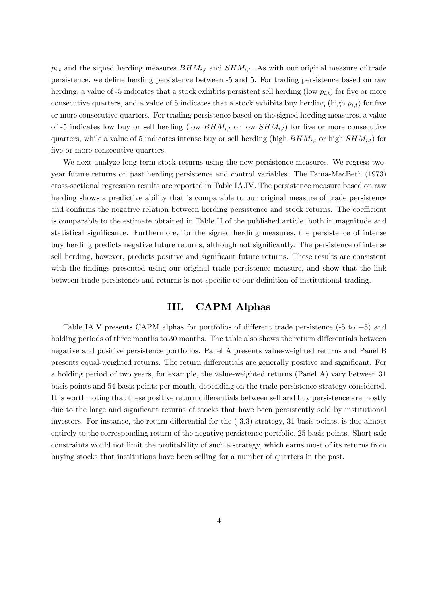$p_{i,t}$  and the signed herding measures  $BHM_{i,t}$  and  $SHM_{i,t}$ . As with our original measure of trade persistence, we define herding persistence between -5 and 5. For trading persistence based on raw herding, a value of -5 indicates that a stock exhibits persistent sell herding (low  $p_{i,t}$ ) for five or more consecutive quarters, and a value of 5 indicates that a stock exhibits buy herding (high  $p_{i,t}$ ) for five or more consecutive quarters. For trading persistence based on the signed herding measures, a value of -5 indicates low buy or sell herding (low  $BHM_{i,t}$  or low  $SHM_{i,t}$ ) for five or more consecutive quarters, while a value of 5 indicates intense buy or sell herding (high  $BHM_{i,t}$  or high  $SHM_{i,t}$ ) for five or more consecutive quarters.

We next analyze long-term stock returns using the new persistence measures. We regress twoyear future returns on past herding persistence and control variables. The Fama-MacBeth (1973) cross-sectional regression results are reported in Table IA.IV. The persistence measure based on raw herding shows a predictive ability that is comparable to our original measure of trade persistence and confirms the negative relation between herding persistence and stock returns. The coefficient is comparable to the estimate obtained in Table II of the published article, both in magnitude and statistical significance. Furthermore, for the signed herding measures, the persistence of intense buy herding predicts negative future returns, although not significantly. The persistence of intense sell herding, however, predicts positive and significant future returns. These results are consistent with the findings presented using our original trade persistence measure, and show that the link between trade persistence and returns is not specific to our definition of institutional trading.

# III. CAPM Alphas

Table IA.V presents CAPM alphas for portfolios of different trade persistence  $(-5 \text{ to } +5)$  and holding periods of three months to 30 months. The table also shows the return differentials between negative and positive persistence portfolios. Panel A presents value-weighted returns and Panel B presents equal-weighted returns. The return differentials are generally positive and significant. For a holding period of two years, for example, the value-weighted returns (Panel A) vary between 31 basis points and 54 basis points per month, depending on the trade persistence strategy considered. It is worth noting that these positive return differentials between sell and buy persistence are mostly due to the large and significant returns of stocks that have been persistently sold by institutional investors. For instance, the return differential for the  $(-3,3)$  strategy, 31 basis points, is due almost entirely to the corresponding return of the negative persistence portfolio, 25 basis points. Short-sale constraints would not limit the profitability of such a strategy, which earns most of its returns from buying stocks that institutions have been selling for a number of quarters in the past.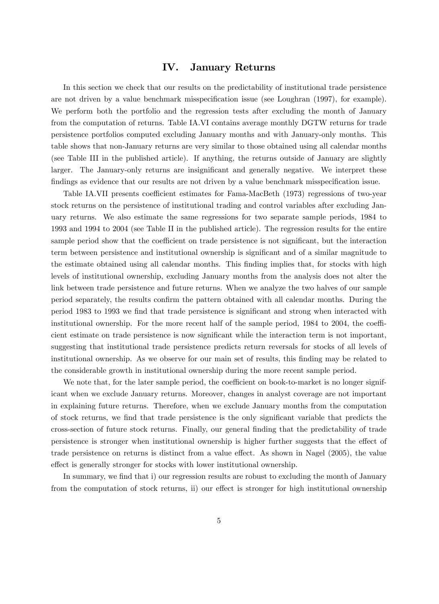# IV. January Returns

In this section we check that our results on the predictability of institutional trade persistence are not driven by a value benchmark misspecification issue (see Loughran (1997), for example). We perform both the portfolio and the regression tests after excluding the month of January from the computation of returns. Table IA.VI contains average monthly DGTW returns for trade persistence portfolios computed excluding January months and with January-only months. This table shows that non-January returns are very similar to those obtained using all calendar months (see Table III in the published article). If anything, the returns outside of January are slightly larger. The January-only returns are insignificant and generally negative. We interpret these findings as evidence that our results are not driven by a value benchmark misspecification issue.

Table IA.VII presents coefficient estimates for Fama-MacBeth (1973) regressions of two-year stock returns on the persistence of institutional trading and control variables after excluding January returns. We also estimate the same regressions for two separate sample periods, 1984 to 1993 and 1994 to 2004 (see Table II in the published article). The regression results for the entire sample period show that the coefficient on trade persistence is not significant, but the interaction term between persistence and institutional ownership is significant and of a similar magnitude to the estimate obtained using all calendar months. This Önding implies that, for stocks with high levels of institutional ownership, excluding January months from the analysis does not alter the link between trade persistence and future returns. When we analyze the two halves of our sample period separately, the results confirm the pattern obtained with all calendar months. During the period 1983 to 1993 we find that trade persistence is significant and strong when interacted with institutional ownership. For the more recent half of the sample period,  $1984$  to  $2004$ , the coefficient estimate on trade persistence is now significant while the interaction term is not important, suggesting that institutional trade persistence predicts return reversals for stocks of all levels of institutional ownership. As we observe for our main set of results, this Önding may be related to the considerable growth in institutional ownership during the more recent sample period.

We note that, for the later sample period, the coefficient on book-to-market is no longer significant when we exclude January returns. Moreover, changes in analyst coverage are not important in explaining future returns. Therefore, when we exclude January months from the computation of stock returns, we find that trade persistence is the only significant variable that predicts the cross-section of future stock returns. Finally, our general Önding that the predictability of trade persistence is stronger when institutional ownership is higher further suggests that the effect of trade persistence on returns is distinct from a value effect. As shown in Nagel (2005), the value effect is generally stronger for stocks with lower institutional ownership.

In summary, we find that i) our regression results are robust to excluding the month of January from the computation of stock returns, ii) our effect is stronger for high institutional ownership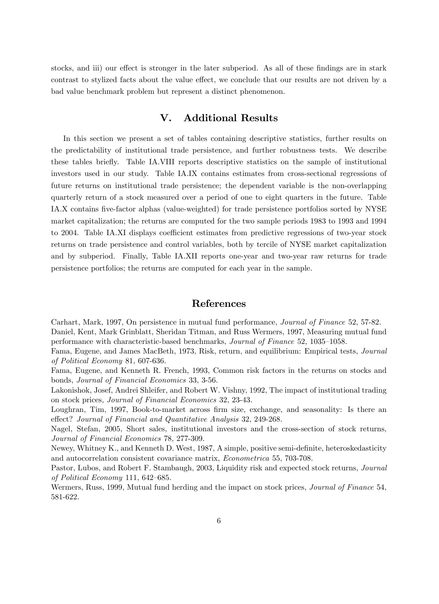stocks, and iii) our effect is stronger in the later subperiod. As all of these findings are in stark contrast to stylized facts about the value effect, we conclude that our results are not driven by a bad value benchmark problem but represent a distinct phenomenon.

# V. Additional Results

In this section we present a set of tables containing descriptive statistics, further results on the predictability of institutional trade persistence, and further robustness tests. We describe these tables brieáy. Table IA.VIII reports descriptive statistics on the sample of institutional investors used in our study. Table IA.IX contains estimates from cross-sectional regressions of future returns on institutional trade persistence; the dependent variable is the non-overlapping quarterly return of a stock measured over a period of one to eight quarters in the future. Table IA.X contains Öve-factor alphas (value-weighted) for trade persistence portfolios sorted by NYSE market capitalization; the returns are computed for the two sample periods 1983 to 1993 and 1994 to 2004. Table IA.XI displays coefficient estimates from predictive regressions of two-year stock returns on trade persistence and control variables, both by tercile of NYSE market capitalization and by subperiod. Finally, Table IA.XII reports one-year and two-year raw returns for trade persistence portfolios; the returns are computed for each year in the sample.

# References

Carhart, Mark, 1997, On persistence in mutual fund performance, Journal of Finance 52, 57-82. Daniel, Kent, Mark Grinblatt, Sheridan Titman, and Russ Wermers, 1997, Measuring mutual fund performance with characteristic-based benchmarks, *Journal of Finance* 52, 1035–1058.

Fama, Eugene, and James MacBeth, 1973, Risk, return, and equilibrium: Empirical tests, Journal of Political Economy 81, 607-636.

Fama, Eugene, and Kenneth R. French, 1993, Common risk factors in the returns on stocks and bonds, Journal of Financial Economics 33, 3-56.

Lakonishok, Josef, Andrei Shleifer, and Robert W. Vishny, 1992, The impact of institutional trading on stock prices, Journal of Financial Economics 32, 23-43.

Loughran, Tim, 1997, Book-to-market across firm size, exchange, and seasonality: Is there an effect? Journal of Financial and Quantitative Analysis 32, 249-268.

Nagel, Stefan, 2005, Short sales, institutional investors and the cross-section of stock returns, Journal of Financial Economics 78, 277-309.

Newey, Whitney K., and Kenneth D. West, 1987, A simple, positive semi-definite, heteroskedasticity and autocorrelation consistent covariance matrix, Econometrica 55, 703-708.

Pastor, Lubos, and Robert F. Stambaugh, 2003, Liquidity risk and expected stock returns, Journal of Political Economy 111,  $642-685$ .

Wermers, Russ, 1999, Mutual fund herding and the impact on stock prices, *Journal of Finance* 54, 581-622.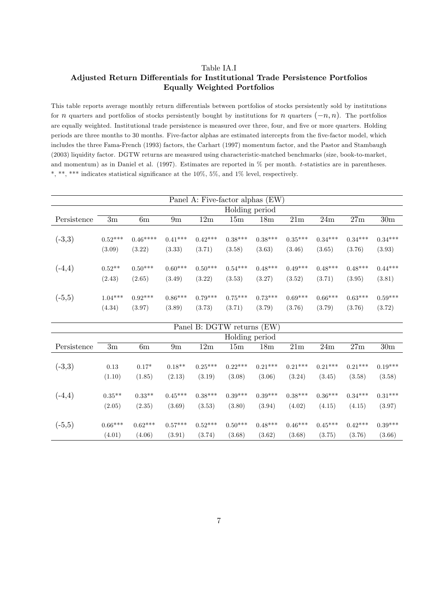#### Table IA.I

# Adjusted Return Differentials for Institutional Trade Persistence Portfolios Equally Weighted Portfolios

This table reports average monthly return differentials between portfolios of stocks persistently sold by institutions for *n* quarters and portfolios of stocks persistently bought by institutions for *n* quarters  $(-n, n)$ . The portfolios are equally weighted. Institutional trade persistence is measured over three, four, and five or more quarters. Holding periods are three months to 30 months. Five-factor alphas are estimated intercepts from the five-factor model, which includes the three Fama-French (1993) factors, the Carhart (1997) momentum factor, and the Pastor and Stambaugh (2003) liquidity factor. DGTW returns are measured using characteristic-matched benchmarks (size, book-to-market, and momentum) as in Daniel et al. (1997). Estimates are reported in % per month. t-statistics are in parentheses. \*, \*\*, \*\*\* indicates statistical significance at the  $10\%$ ,  $5\%$ , and  $1\%$  level, respectively.

|             |               |           |               |           |                            | Panel A: Five-factor alphas (EW) |           |           |           |           |
|-------------|---------------|-----------|---------------|-----------|----------------------------|----------------------------------|-----------|-----------|-----------|-----------|
|             |               |           |               |           | Holding period             |                                  |           |           |           |           |
| Persistence | $3\mathrm{m}$ | 6m        | $9\mathrm{m}$ | 12m       | 15m                        | 18 <sub>m</sub>                  | 21m       | 24m       | 27m       | 30m       |
|             |               |           |               |           |                            |                                  |           |           |           |           |
| $(-3,3)$    | $0.52***$     | $0.46***$ | $0.41***$     | $0.42***$ | $0.38***$                  | $0.38***$                        | $0.35***$ | $0.34***$ | $0.34***$ | $0.34***$ |
|             | (3.09)        | (3.22)    | (3.33)        | (3.71)    | (3.58)                     | (3.63)                           | (3.46)    | (3.65)    | (3.76)    | (3.93)    |
| $(-4,4)$    | $0.52**$      | $0.50***$ | $0.60***$     | $0.50***$ | $0.54***$                  | $0.48***$                        | $0.49***$ | $0.48***$ | $0.48***$ | $0.44***$ |
|             | (2.43)        | (2.65)    | (3.49)        | (3.22)    | (3.53)                     | (3.27)                           | (3.52)    | (3.71)    | (3.95)    | (3.81)    |
|             |               |           |               |           |                            |                                  |           |           |           |           |
| $(-5,5)$    | $1.04***$     | $0.92***$ | $0.86***$     | $0.79***$ | $0.75***$                  | $0.73***$                        | $0.69***$ | $0.66***$ | $0.63***$ | $0.59***$ |
|             | (4.34)        | (3.97)    | (3.89)        | (3.73)    | (3.71)                     | (3.79)                           | (3.76)    | (3.79)    | (3.76)    | (3.72)    |
|             |               |           |               |           | Panel B: DGTW returns (EW) |                                  |           |           |           |           |
|             |               |           |               |           | Holding period             |                                  |           |           |           |           |
| Persistence | $3\mathrm{m}$ | 6m        | 9m            | 12m       | 15m                        | 18 <sub>m</sub>                  | 21m       | 24m       | 27m       | 30m       |
|             | 0.13          | $0.17*$   | $0.18**$      | $0.25***$ | $0.22***$                  | $0.21***$                        | $0.21***$ | $0.21***$ | $0.21***$ | $0.19***$ |
| $(-3,3)$    |               |           |               |           |                            |                                  |           |           |           |           |
|             | (1.10)        | (1.85)    | (2.13)        | (3.19)    | (3.08)                     | (3.06)                           | (3.24)    | (3.45)    | (3.58)    | (3.58)    |
| $(-4,4)$    | $0.35***$     | $0.33**$  | $0.45***$     | $0.38***$ | $0.39***$                  | $0.39***$                        | $0.38***$ | $0.36***$ | $0.34***$ | $0.31***$ |
|             | (2.05)        | (2.35)    | (3.69)        | (3.53)    | (3.80)                     | (3.94)                           | (4.02)    | (4.15)    | (4.15)    | (3.97)    |
| $(-5,5)$    | $0.66***$     | $0.62***$ | $0.57***$     | $0.52***$ | $0.50***$                  | $0.48***$                        | $0.46***$ | $0.45***$ | $0.42***$ | $0.39***$ |
|             | (4.01)        | (4.06)    | (3.91)        | (3.74)    | (3.68)                     | (3.62)                           | (3.68)    | (3.75)    | (3.76)    | (3.66)    |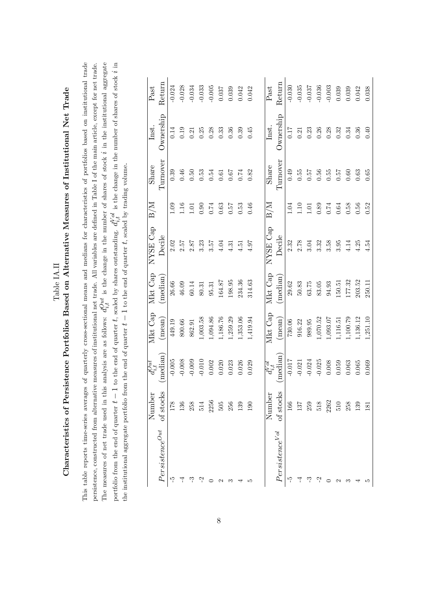| $\frac{1}{2}$<br>$\frac{1}{2}$<br>ì | )<br> }<br> <br>$\frac{1}{2}$ Metropole $\frac{1}{2}$<br>$-1 - 1 + 1 + 1 + 1 - 2$<br>as of lnsy.<br>)<br>)<br>)<br> <br>urtfolios Based on Alternative N'<br>۔<br>د<br>$5 - 5 - 5$<br>$\frac{1}{2}$<br>ſ<br>1 |
|-------------------------------------|---------------------------------------------------------------------------------------------------------------------------------------------------------------------------------------------------------------|
|                                     | Ï<br>)                                                                                                                                                                                                        |
|                                     | I                                                                                                                                                                                                             |

This table reports time-series averages of quarterly cross-sectional means and medians for characteristics of portfolios based on institutional trade persistence, constructed from alternative measures of institutional net trade. All variables are defined in Table I of the main article, except for net trade. The measures of net trade used in this analysis are as follows:  $d_{i,t}^{Out}$  is the change in the number of shares of stock i in the institutional aggregate portfolio from the end of quarter  $t-1$  to the end of quarter t, scaled by shares outstanding.  $d_{i,t}^{V\rho d}$  is the change in the number of shares of stock i in This table reports time-series averages of quarterly cross-sectional means and medians for characteristics of portfolios based on institutional trade The measures of net trade used in this analysis are as follows:  $d_{i,t}^{Out}$  is the change in the number of shares of stock i in the institutional aggregate portfolio from the end of quarter t  $-1$  to the end of quarter t, scaled by shares outstanding.  $d_{i,t}^{VQ}$  is the change in the number of shares of stock i in persistence, constructed from alternative measures of institutional net trade. All variables are defined in Table I of the main article, except for net trade. the institutional aggregate portfolio from the end of quarter  $t-1$  to the end of quarter  $t$ , scaled by trading volume. the institutional aggregate portfolio from the end of quarter  $t-1$  to the end of quarter  $t$ , scaled by trading volume.

|                                           | Number                                    | $d_{i,t}^{Out}$            | Mkt Cap         | Mkt Cap             | NYSE Cap                                    | $\rm B/M$                                           | Share         | Inst.      | $\rm Past$    |
|-------------------------------------------|-------------------------------------------|----------------------------|-----------------|---------------------|---------------------------------------------|-----------------------------------------------------|---------------|------------|---------------|
| $\label{eq:persitence} Persistence^{Out}$ | of stocks                                 | (median)                   | $(\text{mean})$ | median)             | Decile                                      |                                                     | Turnover      | Ownership  | Return        |
| ကု                                        | 178                                       | $-0.005$                   | 449.19          | $26.66\,$           |                                             | 1.09                                                | 0.39          | 0.14       | $-0.024$      |
|                                           | 136                                       | $-0.008$                   | 800.66          | $46.09$             | $\begin{array}{c} 2.02 \\ 2.57 \end{array}$ |                                                     | $0.46\,$      | $\rm 0.19$ | $-0.028$      |
|                                           | $\begin{array}{c} 258 \\ 514 \end{array}$ | $-0.009$                   | 862.91          | $60.14\,$           | $2.87\,$                                    | $\begin{array}{c} 1.16 \\ 1.01 \end{array}$         | $0.50\,$      | 0.21       | $-0.034$      |
| بہ                                        |                                           | $-0.010$                   | 1,003.58        | $80.31\,$           | 3.23                                        | 0.90                                                | $\,0.53$      | 0.25       | $-0.033$      |
|                                           | 2256                                      | 0.002                      | 1,094.86        | $\hphantom{0}95.31$ | $3.57\,$                                    | $0.74\,$                                            | 0.54          | 0.28       | $-0.005$      |
|                                           | $505\,$                                   | 0.020                      | 1,186.76        | 164.87              | 4.04                                        | 0.63                                                | $\!0.61$      | 0.33       | 0.037         |
|                                           | 256                                       | 0.023                      | 1,259.29        | 198.95              | 4.31                                        | 75.0                                                | $\!79.0\!$    | $\rm 0.36$ | 0.039         |
|                                           | 139                                       | 0.026                      | 1,353.06        | 234.36              | 4.51                                        | $\,0.53$                                            | 0.74          | 0.39       | 0.042         |
|                                           | 190                                       | 0.029                      | 1,419.94        | 314.63              | 4.97                                        | 0.46                                                | 0.82          | 0.45       | 0.042         |
|                                           |                                           |                            |                 |                     |                                             |                                                     |               |            |               |
|                                           | Number                                    | $\overline{d_{i,t}^{Vol}}$ | Mkt Cap         | Mkt Cap             | NYSE Cap                                    | $_{\rm B/M}$                                        | Share         | Inst.      | $_{\rm Past}$ |
| Persistence <sup>Vol</sup>                | of stocks                                 | (median)                   | $(\text{mean})$ | median)             | Decile                                      |                                                     | Turnover      | Ownership  | Return        |
| ကု                                        | 166                                       | $-0.017$                   | 730.06          | $29.62\,$           | $2.32\,$                                    | 1.04                                                | 0.49          | $0.17\,$   | $-0.030$      |
|                                           | 137                                       | $-0.021$                   | 916.22          | $50.83\,$           | 2.78                                        |                                                     | $0.55\,$      | $\!0.21\!$ | $-0.035$      |
|                                           | $259\,$                                   | $-0.024$                   | 989.95          | $63.75\,$           | 3.04                                        | $\begin{array}{c} 1.10 \\ 1.01 \\ 0.89 \end{array}$ | $0.57$ $0.56$ | 0.23       | $-0.037$      |
|                                           | 518                                       | $-0.025$                   | 1,070.52        | 83.05               | $\!3.32\!$                                  |                                                     |               | 0.26       | $-0.036$      |
|                                           | 2262                                      | $0.008\,$                  | 1,093.07        | 94.93               | $3.58\,$                                    | $0.74\,$                                            | $0.55\,$      | 0.28       | $-0.003$      |
|                                           | 510                                       | 0.059                      | 1,116.51        | 150.51              | $3.95\,$                                    | $\!0.64\!$                                          | 75.0          | $\!0.32\!$ | 0.039         |
|                                           | 258                                       | $\!0.063$                  | 1,100.79        | 177.32              | 4.14                                        | $0.58\,$                                            | $\rm 0.60$    | 0.34       | 0.039         |
|                                           | 139                                       | 0.065                      | 1,136.12        | 203.52              | 4.25                                        | $0.56\,$                                            | 0.63          | $\!0.36\!$ | 0.042         |
|                                           | 181                                       | 0.069                      | 1,251.10        | 250.11              | 4.54                                        | 0.52                                                | 0.65          | 0.40       | 0.038         |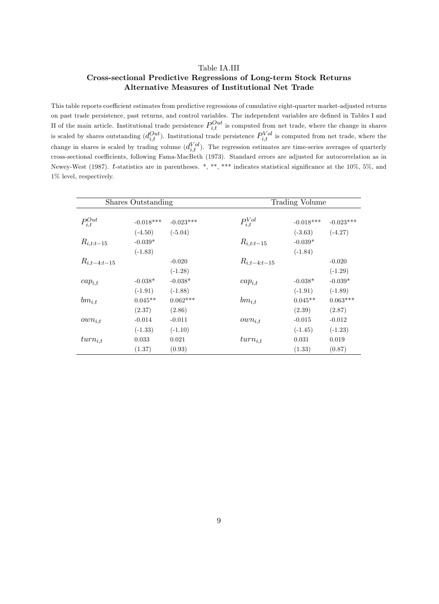#### Table IA.III

### Cross-sectional Predictive Regressions of Long-term Stock Returns Alternative Measures of Institutional Net Trade

This table reports coefficient estimates from predictive regressions of cumulative eight-quarter market-adjusted returns on past trade persistence, past returns, and control variables. The independent variables are defined in Tables I and II of the main article. Institutional trade persistence  $P_{i,t}^{Out}$  is computed from net trade, where the change in shares is scaled by shares outstanding  $(d_{i,t}^{Out})$ . Institutional trade persistence  $P_{i,t}^{Vol}$  is computed from net trade, where the change in shares is scaled by trading volume  $(d_{i,t}^{Vol})$ . The regression estimates are time-series averages of quarterly cross-sectional coefficients, following Fama-MacBeth (1973). Standard errors are adjusted for autocorrelation as in Newey-West (1987). t-statistics are in parentheses. \*, \*\*, \*\*\* indicates statistical significance at the 10%, 5%, and 1% level, respectively.

|                  | Shares Outstanding |             |                  | Trading Volume |             |
|------------------|--------------------|-------------|------------------|----------------|-------------|
| $P_{i,t}^{Out}$  | $-0.018***$        | $-0.023***$ | $P_{i,t}^{Vol}$  | $-0.018***$    | $-0.023***$ |
|                  | $(-4.50)$          | $(-5.04)$   |                  | $(-3.63)$      | $(-4.27)$   |
| $R_{i,t:t-15}$   | $-0.039*$          |             | $R_{i,t:t-15}$   | $-0.039*$      |             |
|                  | $(-1.83)$          |             |                  | $(-1.84)$      |             |
| $R_{i,t-4:t-15}$ |                    | $-0.020$    | $R_{i,t-4:t-15}$ |                | $-0.020$    |
|                  |                    | $(-1.28)$   |                  |                | $(-1.29)$   |
| $cap_{i,t}$      | $-0.038*$          | $-0.038*$   | $cap_{i,t}$      | $-0.038*$      | $-0.039*$   |
|                  | $(-1.91)$          | $(-1.88)$   |                  | $(-1.91)$      | $(-1.89)$   |
| $bm_{i,t}$       | $0.045**$          | $0.062***$  | $bm_{i,t}$       | $0.045**$      | $0.063***$  |
|                  | (2.37)             | (2.86)      |                  | (2.39)         | (2.87)      |
| $own_{i,t}$      | $-0.014$           | $-0.011$    | $own_{i,t}$      | $-0.015$       | $-0.012$    |
|                  | $(-1.33)$          | $(-1.10)$   |                  | $(-1.45)$      | $(-1.23)$   |
| $turn_{i,t}$     | 0.033              | 0.021       | $turn_{i,t}$     | 0.031          | 0.019       |
|                  | (1.37)             | (0.93)      |                  | (1.33)         | (0.87)      |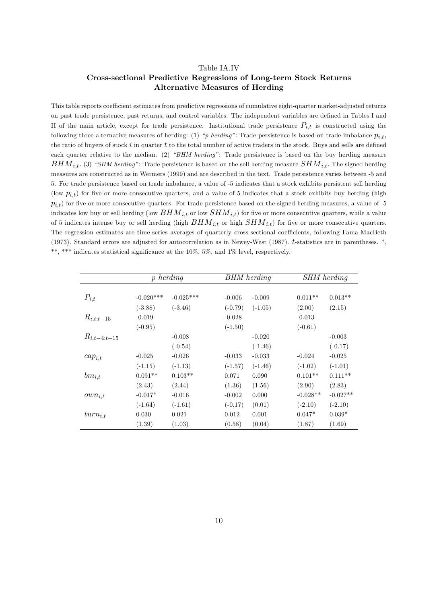#### Table IA.IV

### Cross-sectional Predictive Regressions of Long-term Stock Returns Alternative Measures of Herding

This table reports coefficient estimates from predictive regressions of cumulative eight-quarter market-adjusted returns on past trade persistence, past returns, and control variables. The independent variables are deÖned in Tables I and II of the main article, except for trade persistence. Institutional trade persistence  $P_{i,t}$  is constructed using the following three alternative measures of herding: (1) "p herding": Trade persistence is based on trade imbalance  $p_{i,t}$ , the ratio of buyers of stock i in quarter t to the total number of active traders in the stock. Buys and sells are defined each quarter relative to the median. (2)  $\text{``BHM}$  herding": Trade persistence is based on the buy herding measure  $BHM_{i,t}.$  (3) "SHM herding": Trade persistence is based on the sell herding measure  $SHM_{i,t}.$  The signed herding measures are constructed as in Wermers (1999) and are described in the text. Trade persistence varies between -5 and 5. For trade persistence based on trade imbalance, a value of -5 indicates that a stock exhibits persistent sell herding (low  $p_{i,t}$ ) for five or more consecutive quarters, and a value of 5 indicates that a stock exhibits buy herding (high  $p_{i,t}$ ) for five or more consecutive quarters. For trade persistence based on the signed herding measures, a value of -5 indicates low buy or sell herding (low  $SHM_{i,t}$  or low  $SHM_{i,t}$ ) for five or more consecutive quarters, while a value of 5 indicates intense buy or sell herding (high  $HHM_{i,t}$  or high  $SHM_{i,t}$ ) for five or more consecutive quarters. The regression estimates are time-series averages of quarterly cross-sectional coefficients, following Fama-MacBeth (1973). Standard errors are adjusted for autocorrelation as in Newey-West (1987).  $t$ -statistics are in parentheses.  $*,$ \*\*, \*\*\* indicates statistical significance at the  $10\%$ , 5%, and 1% level, respectively.

|                  |             | $p \, \mathit{herding}$ |           | <b>BHM</b> herding |            | <b>SHM</b> herding |
|------------------|-------------|-------------------------|-----------|--------------------|------------|--------------------|
|                  |             |                         |           |                    |            |                    |
| $P_{i,t}$        | $-0.020***$ | $-0.025***$             | $-0.006$  | $-0.009$           | $0.011**$  | $0.013**$          |
|                  | $(-3.88)$   | $(-3.46)$               | $(-0.79)$ | $(-1.05)$          | (2.00)     | (2.15)             |
| $R_{i,t:t-15}$   | $-0.019$    |                         | $-0.028$  |                    | $-0.013$   |                    |
|                  | $(-0.95)$   |                         | $(-1.50)$ |                    | $(-0.61)$  |                    |
| $R_{i,t-4:t-15}$ |             | $-0.008$                |           | $-0.020$           |            | $-0.003$           |
|                  |             | $(-0.54)$               |           | $(-1.46)$          |            | $(-0.17)$          |
| $cap_{i,t}$      | $-0.025$    | $-0.026$                | $-0.033$  | $-0.033$           | $-0.024$   | $-0.025$           |
|                  | $(-1.15)$   | $(-1.13)$               | $(-1.57)$ | $(-1.46)$          | $(-1.02)$  | $(-1.01)$          |
| $bm_{i,t}$       | $0.091**$   | $0.103**$               | 0.071     | 0.090              | $0.101**$  | $0.111**$          |
|                  | (2.43)      | (2.44)                  | (1.36)    | (1.56)             | (2.90)     | (2.83)             |
| $own_{i,t}$      | $-0.017*$   | $-0.016$                | $-0.002$  | 0.000              | $-0.028**$ | $-0.027**$         |
|                  | $(-1.64)$   | $(-1.61)$               | $(-0.17)$ | (0.01)             | $(-2.10)$  | $(-2.10)$          |
| $turn_{i,t}$     | 0.030       | 0.021                   | 0.012     | 0.001              | $0.047*$   | $0.039*$           |
|                  | (1.39)      | (1.03)                  | (0.58)    | (0.04)             | (1.87)     | (1.69)             |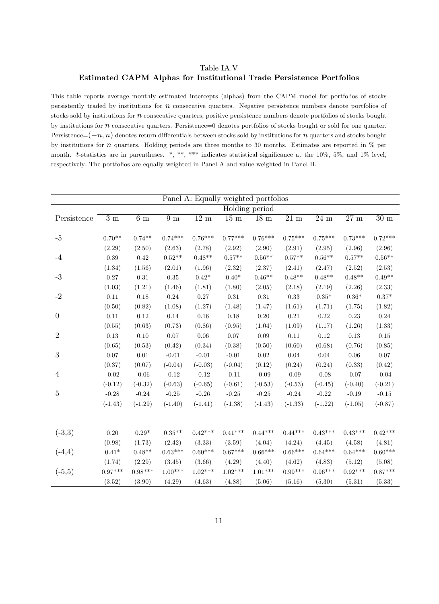### Table IA.V Estimated CAPM Alphas for Institutional Trade Persistence Portfolios

This table reports average monthly estimated intercepts (alphas) from the CAPM model for portfolios of stocks persistently traded by institutions for n consecutive quarters. Negative persistence numbers denote portfolios of stocks sold by institutions for n consecutive quarters, positive persistence numbers denote portfolios of stocks bought by institutions for  $n$  consecutive quarters. Persistence=0 denotes portfolios of stocks bought or sold for one quarter. Persistence= $(-n, n)$  denotes return differentials between stocks sold by institutions for n quarters and stocks bought by institutions for n quarters. Holding periods are three months to 30 months. Estimates are reported in % per month. t-statistics are in parentheses. \*, \*\*, \*\*\* indicates statistical significance at the  $10\%$ ,  $5\%$ , and  $1\%$  level, respectively. The portfolios are equally weighted in Panel A and value-weighted in Panel B.

|                  |              |              |              |                | Panel A: Equally weighted portfolios |                 |                   |               |                 |                |
|------------------|--------------|--------------|--------------|----------------|--------------------------------------|-----------------|-------------------|---------------|-----------------|----------------|
|                  |              |              |              |                |                                      | Holding period  |                   |               |                 |                |
| Persistence      | $3\ {\rm m}$ | $6\ {\rm m}$ | $9\ {\rm m}$ | $12 \text{ m}$ | $15~\mathrm{m}$                      | $18~\mathrm{m}$ | $\overline{2}1$ m | $24\ {\rm m}$ | $27~\mathrm{m}$ | $30 \text{ m}$ |
|                  |              |              |              |                |                                      |                 |                   |               |                 |                |
| $-5$             | $0.70**$     | $0.74**$     | $0.74***$    | $0.76***$      | $0.77***$                            | $0.76***$       | $0.75***$         | $0.75***$     | $0.73***$       | $0.72***$      |
|                  | (2.29)       | (2.50)       | (2.63)       | (2.78)         | (2.92)                               | (2.90)          | (2.91)            | (2.95)        | (2.96)          | (2.96)         |
| $-4$             | 0.39         | 0.42         | $0.52**$     | $0.48**$       | $0.57**$                             | $0.56**$        | $0.57**$          | $0.56**$      | $0.57**$        | $0.56**$       |
|                  | (1.34)       | (1.56)       | (2.01)       | (1.96)         | (2.32)                               | (2.37)          | (2.41)            | (2.47)        | (2.52)          | (2.53)         |
| $-3$             | 0.27         | 0.31         | $\rm 0.35$   | $0.42*$        | $0.40*$                              | $0.46**$        | $0.48**$          | $0.48**$      | $0.48**$        | $0.49**$       |
|                  | (1.03)       | (1.21)       | (1.46)       | (1.81)         | (1.80)                               | (2.05)          | (2.18)            | (2.19)        | (2.26)          | (2.33)         |
| $-2$             | 0.11         | 0.18         | $0.24\,$     | $0.27\,$       | $\rm 0.31$                           | $\rm 0.31$      | 0.33              | $0.35*$       | $0.36*$         | $0.37*$        |
|                  | (0.50)       | (0.82)       | (1.08)       | (1.27)         | (1.48)                               | (1.47)          | (1.61)            | (1.71)        | (1.75)          | (1.82)         |
| $\boldsymbol{0}$ | 0.11         | 0.12         | 0.14         | 0.16           | 0.18                                 | 0.20            | $\rm 0.21$        | 0.22          | 0.23            | 0.24           |
|                  | (0.55)       | (0.63)       | (0.73)       | (0.86)         | (0.95)                               | (1.04)          | (1.09)            | (1.17)        | (1.26)          | (1.33)         |
| $\overline{2}$   | 0.13         | 0.10         | 0.07         | 0.06           | 0.07                                 | 0.09            | 0.11              | 0.12          | 0.13            | 0.15           |
|                  | (0.65)       | (0.53)       | (0.42)       | (0.34)         | (0.38)                               | (0.50)          | (0.60)            | (0.68)        | (0.76)          | (0.85)         |
| $\sqrt{3}$       | 0.07         | 0.01         | $-0.01$      | $-0.01$        | $-0.01$                              | 0.02            | 0.04              | 0.04          | 0.06            | 0.07           |
|                  | (0.37)       | (0.07)       | $(-0.04)$    | $(-0.03)$      | $(-0.04)$                            | (0.12)          | (0.24)            | (0.24)        | (0.33)          | (0.42)         |
| $\overline{4}$   | $-0.02$      | $-0.06$      | $-0.12$      | $-0.12$        | $-0.11$                              | $-0.09$         | $-0.09$           | $-0.08$       | $-0.07$         | $-0.04$        |
|                  | $(-0.12)$    | $(-0.32)$    | $(-0.63)$    | $(-0.65)$      | $(-0.61)$                            | $(-0.53)$       | $(-0.53)$         | $(-0.45)$     | $(-0.40)$       | $(-0.21)$      |
| $\bf 5$          | $-0.28$      | $-0.24$      | $-0.25$      | $-0.26$        | $-0.25$                              | $-0.25$         | $-0.24$           | $-0.22$       | $-0.19$         | $-0.15$        |
|                  | $(-1.43)$    | $(-1.29)$    | $(-1.40)$    | $(-1.41)$      | $(-1.38)$                            | $(-1.43)$       | $(-1.33)$         | $(-1.22)$     | $(-1.05)$       | $(-0.87)$      |
|                  |              |              |              |                |                                      |                 |                   |               |                 |                |
|                  |              |              |              |                |                                      |                 |                   |               |                 |                |
| $(-3,3)$         | 0.20         | $0.29*$      | $0.35**$     | $0.42***$      | $0.41***$                            | $0.44***$       | $0.44***$         | $0.43***$     | $0.43***$       | $0.42***$      |
|                  | (0.98)       | (1.73)       | (2.42)       | (3.33)         | (3.59)                               | (4.04)          | (4.24)            | (4.45)        | (4.58)          | (4.81)         |
| $(-4,4)$         | $0.41*$      | $0.48**$     | $0.63***$    | $0.60***$      | $0.67***$                            | $0.66***$       | $0.66***$         | $0.64***$     | $0.64***$       | $0.60***$      |
|                  | (1.74)       | (2.29)       | (3.45)       | (3.66)         | (4.29)                               | (4.40)          | (4.62)            | (4.83)        | (5.12)          | (5.08)         |
| $(-5,5)$         | $0.97***$    | $0.98***$    | $1.00***$    | $1.02***$      | $1.02***$                            | $1.01***$       | $0.99***$         | $0.96***$     | $0.92***$       | $0.87***$      |
|                  | (3.52)       | (3.90)       | (4.29)       | (4.63)         | (4.88)                               | (5.06)          | (5.16)            | (5.30)        | (5.31)          | (5.33)         |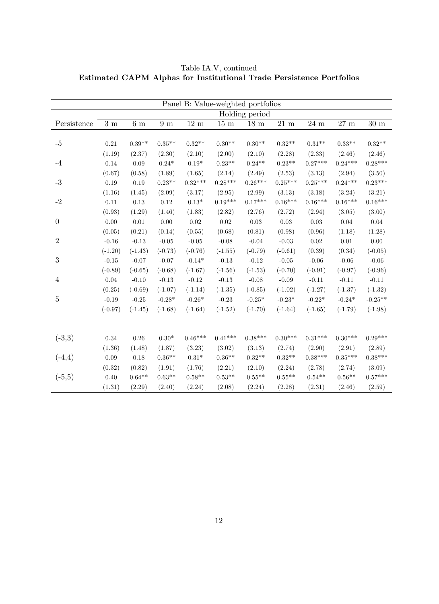|                  |                  |              |               | Panel B: Value-weighted portfolios |               |                   |                   |               |                 |                |
|------------------|------------------|--------------|---------------|------------------------------------|---------------|-------------------|-------------------|---------------|-----------------|----------------|
|                  |                  |              |               |                                    |               | Holding period    |                   |               |                 |                |
| Persistence      | $\overline{3}$ m | $6\ {\rm m}$ | 9m            | $12\ {\rm m}$                      | $15\ {\rm m}$ | $18 \text{ m}$    | $\overline{2}1$ m | $24\ {\rm m}$ | $27~\mathrm{m}$ | $30 \text{ m}$ |
|                  |                  |              |               |                                    |               |                   |                   |               |                 |                |
| $-5$             | 0.21             | $0.39**$     | $0.35**$      | $0.32**$                           | $0.30**$      | $0.30**$          | $0.32**$          | $0.31**$      | $0.33**$        | $0.32**$       |
|                  | (1.19)           | (2.37)       | (2.30)        | (2.10)                             | (2.00)        | (2.10)            | (2.28)            | (2.33)        | (2.46)          | (2.46)         |
| $-4$             | 0.14             | 0.09         | $0.24*$       | $0.19*$                            | $0.23**$      | $0.24**$          | $0.23**$          | $0.27***$     | $0.24***$       | $0.28***$      |
|                  | (0.67)           | (0.58)       | (1.89)        | (1.65)                             | (2.14)        | (2.49)            | (2.53)            | (3.13)        | (2.94)          | (3.50)         |
| $-3$             | $0.19\,$         | $0.19\,$     | $0.23**$      | $0.32***$                          | $0.28***$     | $0.26***$         | $0.25***$         | $0.25***$     | $0.24***$       | $0.23***$      |
|                  | (1.16)           | (1.45)       | (2.09)        | (3.17)                             | (2.95)        | (2.99)            | (3.13)            | (3.18)        | (3.24)          | (3.21)         |
| $-2$             | $0.11\,$         | $0.13\,$     | $0.12\,$      | $0.13^{\ast}$                      | $0.19***$     | $0.17***$         | $0.16***$         | $0.16***$     | $0.16***$       | $0.16***$      |
|                  | (0.93)           | (1.29)       | (1.46)        | (1.83)                             | (2.82)        | (2.76)            | (2.72)            | (2.94)        | (3.05)          | (3.00)         |
| $\boldsymbol{0}$ | $0.00\,$         | $0.01\,$     | $0.00\,$      | 0.02                               | $0.02\,$      | $\rm 0.03$        | 0.03              | 0.03          | $0.04\,$        | 0.04           |
|                  | (0.05)           | (0.21)       | (0.14)        | (0.55)                             | (0.68)        | (0.81)            | (0.98)            | (0.96)        | (1.18)          | (1.28)         |
| $\overline{2}$   | $-0.16$          | $-0.13$      | $-0.05$       | $-0.05$                            | $-0.08$       | $-0.04$           | $-0.03$           | 0.02          | $0.01\,$        | 0.00           |
|                  | $(-1.20)$        | $(-1.43)$    | $(-0.73)$     | $(-0.76)$                          | $(-1.55)$     | $(-0.79)$         | $(-0.61)$         | (0.39)        | (0.34)          | $(-0.05)$      |
| $\boldsymbol{3}$ | $-0.15$          | $-0.07$      | $-0.07$       | $-0.14*$                           | $-0.13$       | $-0.12$           | $-0.05$           | $-0.06$       | $-0.06$         | $-0.06$        |
|                  | $(-0.89)$        | $(-0.65)$    | $(-0.68)$     | $(-1.67)$                          | $(-1.56)$     | $(-1.53)$         | $(-0.70)$         | $(-0.91)$     | $(-0.97)$       | $(-0.96)$      |
| $\overline{4}$   | 0.04             | $-0.10$      | $-0.13$       | $-0.12$                            | $-0.13$       | $-0.08$           | $-0.09$           | $-0.11$       | $-0.11$         | $-0.11$        |
|                  | (0.25)           | $(-0.69)$    | $(-1.07)$     | $(-1.14)$                          | $(-1.35)$     | $(-0.85)$         | $(-1.02)$         | $(-1.27)$     | $(-1.37)$       | $(-1.32)$      |
| $\overline{5}$   | $-0.19$          | $-0.25$      | $-0.28*$      | $-0.26*$                           | $-0.23$       | $-0.25*$          | $-0.23*$          | $-0.22*$      | $-0.24*$        | $-0.25**$      |
|                  | $(-0.97)$        | $(-1.45)$    | $(-1.68)$     | $(-1.64)$                          | $(-1.52)$     | $(-1.70)$         | $(-1.64)$         | $(-1.65)$     | $(-1.79)$       | $(-1.98)$      |
|                  |                  |              |               |                                    |               |                   |                   |               |                 |                |
|                  |                  |              |               |                                    |               |                   |                   |               |                 |                |
| $(-3,3)$         | 0.34             | 0.26         | $0.30^{\ast}$ | $0.46***$                          | $0.41***$     | $0.38***$         | $0.30***$         | $0.31***$     | $0.30***$       | $0.29***$      |
|                  | (1.36)           | (1.48)       | (1.87)        | (3.23)                             | (3.02)        | (3.13)            | (2.74)            | (2.90)        | (2.91)          | (2.89)         |
| $(-4,4)$         | $0.09\,$         | 0.18         | $0.36**$      | $0.31*$                            | $0.36**$      | $0.32**$          | $0.32^{\ast\ast}$ | $0.38***$     | $0.35***$       | $0.38***$      |
|                  | (0.32)           | (0.82)       | (1.91)        | (1.76)                             | (2.21)        | (2.10)            | (2.24)            | (2.78)        | (2.74)          | (3.09)         |
| $(-5,5)$         | 0.40             | $0.64**$     | $0.63**$      | $0.58**$                           | $0.53**$      | $0.55^{\ast\ast}$ | $0.55**$          | $0.54**$      | $0.56**$        | $0.57***$      |
|                  | (1.31)           | (2.29)       | (2.40)        | (2.24)                             | (2.08)        | (2.24)            | (2.28)            | (2.31)        | (2.46)          | (2.59)         |

Table IA.V, continued Estimated CAPM Alphas for Institutional Trade Persistence Portfolios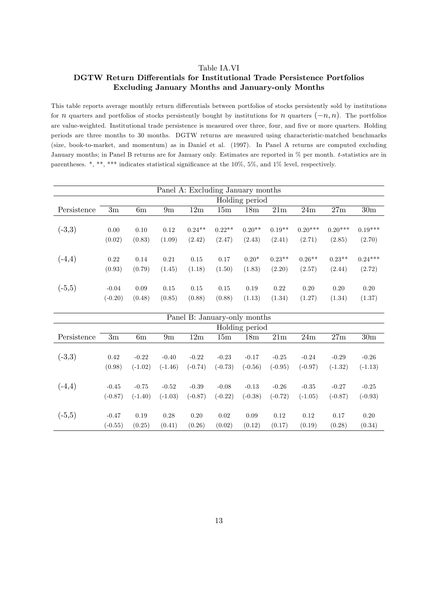#### Table IA.VI

# DGTW Return Differentials for Institutional Trade Persistence Portfolios Excluding January Months and January-only Months

This table reports average monthly return differentials between portfolios of stocks persistently sold by institutions for *n* quarters and portfolios of stocks persistently bought by institutions for *n* quarters  $(-n, n)$ . The portfolios are value-weighted. Institutional trade persistence is measured over three, four, and five or more quarters. Holding periods are three months to 30 months. DGTW returns are measured using characteristic-matched benchmarks (size, book-to-market, and momentum) as in Daniel et al. (1997). In Panel A returns are computed excluding January months; in Panel B returns are for January only. Estimates are reported in % per month. t-statistics are in parentheses. \*, \*\*\* indicates statistical significance at the  $10\%$ , 5%, and 1% level, respectively.

|             |           |        |        | Panel A: Excluding January months |          |                 |                 |           |           |                 |
|-------------|-----------|--------|--------|-----------------------------------|----------|-----------------|-----------------|-----------|-----------|-----------------|
|             |           |        |        |                                   |          | Holding period  |                 |           |           |                 |
| Persistence | 3m        | 6m     | 9m     | 12m                               | 15m      | 18 <sub>m</sub> | 21 <sub>m</sub> | 24m       | 27m       | 30 <sub>m</sub> |
|             |           |        |        |                                   |          |                 |                 |           |           |                 |
| $(-3,3)$    | 0.00      | 0.10   | 0.12   | $0.24**$                          | $0.22**$ | $0.20**$        | $0.19**$        | $0.20***$ | $0.20***$ | $0.19***$       |
|             | (0.02)    | (0.83) | (1.09) | (2.42)                            | (2.47)   | (2.43)          | (2.41)          | (2.71)    | (2.85)    | (2.70)          |
|             |           |        |        |                                   |          |                 |                 |           |           |                 |
| $(-4,4)$    | 0.22      | 0.14   | 0.21   | 0.15                              | 0.17     | $0.20*$         | $0.23**$        | $0.26**$  | $0.23**$  | $0.24***$       |
|             | (0.93)    | (0.79) | (1.45) | (1.18)                            | (1.50)   | (1.83)          | (2.20)          | (2.57)    | (2.44)    | (2.72)          |
|             |           |        |        |                                   |          |                 |                 |           |           |                 |
| $(-5,5)$    | $-0.04$   | 0.09   | 0.15   | 0.15                              | 0.15     | 0.19            | 0.22            | 0.20      | 0.20      | 0.20            |
|             | $(-0.20)$ | (0.48) | (0.85) | (0.88)                            | (0.88)   | (1.13)          | (1.34)          | (1.27)    | (1.34)    | (1.37)          |

|             |           |           |                |           | Panel B: January-only months |                |                 |           |           |                 |
|-------------|-----------|-----------|----------------|-----------|------------------------------|----------------|-----------------|-----------|-----------|-----------------|
|             |           |           |                |           |                              | Holding period |                 |           |           |                 |
| Persistence | 3m        | 6m        | 9 <sub>m</sub> | 12m       | 15m                          | 18m            | 21 <sub>m</sub> | 24m       | 27m       | 30 <sub>m</sub> |
|             |           |           |                |           |                              |                |                 |           |           |                 |
| $(-3,3)$    | 0.42      | $-0.22$   | $-0.40$        | $-0.22$   | $-0.23$                      | $-0.17$        | $-0.25$         | $-0.24$   | $-0.29$   | $-0.26$         |
|             | (0.98)    | $(-1.02)$ | $(-1.46)$      | $(-0.74)$ | $(-0.73)$                    | $(-0.56)$      | $(-0.95)$       | $(-0.97)$ | $(-1.32)$ | $(-1.13)$       |
|             |           |           |                |           |                              |                |                 |           |           |                 |
| $(-4,4)$    | $-0.45$   | $-0.75$   | $-0.52$        | $-0.39$   | $-0.08$                      | $-0.13$        | $-0.26$         | $-0.35$   | $-0.27$   | $-0.25$         |
|             | $(-0.87)$ | $(-1.40)$ | $(-1.03)$      | $(-0.87)$ | $(-0.22)$                    | $(-0.38)$      | $(-0.72)$       | $(-1.05)$ | $(-0.87)$ | $(-0.93)$       |
|             |           |           |                |           |                              |                |                 |           |           |                 |
| $(-5,5)$    | $-0.47$   | 0.19      | 0.28           | 0.20      | 0.02                         | 0.09           | 0.12            | 0.12      | 0.17      | 0.20            |
|             | $(-0.55)$ | (0.25)    | (0.41)         | (0.26)    | (0.02)                       | (0.12)         | (0.17)          | (0.19)    | (0.28)    | (0.34)          |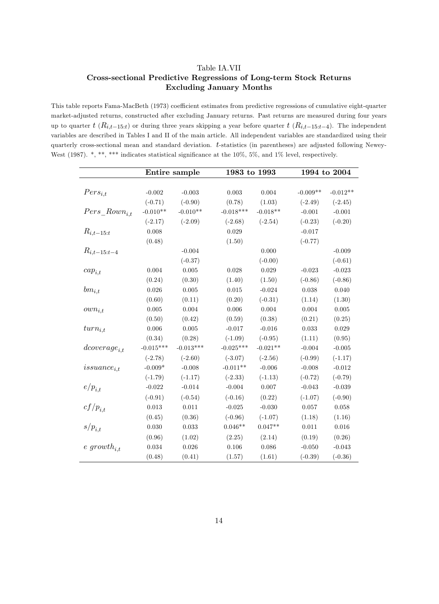# Table IA.VII Cross-sectional Predictive Regressions of Long-term Stock Returns Excluding January Months

This table reports Fama-MacBeth (1973) coefficient estimates from predictive regressions of cumulative eight-quarter market-adjusted returns, constructed after excluding January returns. Past returns are measured during four years up to quarter  $t$  ( $R_{i,t-15:t}$ ) or during three years skipping a year before quarter  $t$  ( $R_{i,t-15:t-4}$ ). The independent variables are described in Tables I and II of the main article. All independent variables are standardized using their quarterly cross-sectional mean and standard deviation. t-statistics (in parentheses) are adjusted following Newey-West (1987). \*, \*\*, \*\*\* indicates statistical significance at the 10%, 5%, and 1% level, respectively.

|                    |             | Entire sample | 1983 to 1993 |            |            | 1994 to 2004 |
|--------------------|-------------|---------------|--------------|------------|------------|--------------|
|                    |             |               |              |            |            |              |
| $Pers_{i,t}$       | $-0.002$    | $-0.003$      | 0.003        | 0.004      | $-0.009**$ | $-0.012**$   |
|                    | $(-0.71)$   | $(-0.90)$     | (0.78)       | (1.03)     | $(-2.49)$  | $(-2.45)$    |
| $Pers\_Rown_{i.t}$ | $-0.010**$  | $-0.010**$    | $-0.018***$  | $-0.018**$ | $-0.001$   | $-0.001$     |
|                    | $(-2.17)$   | $(-2.09)$     | $(-2.68)$    | $(-2.54)$  | $(-0.23)$  | $(-0.20)$    |
| $R_{i,t-15:t}$     | 0.008       |               | 0.029        |            | $-0.017$   |              |
|                    | (0.48)      |               | (1.50)       |            | $(-0.77)$  |              |
| $R_{i,t-15:t-4}$   |             | $-0.004$      |              | 0.000      |            | $-0.009$     |
|                    |             | $(-0.37)$     |              | $(-0.00)$  |            | $(-0.61)$    |
| $cap_{i,t}$        | 0.004       | 0.005         | 0.028        | 0.029      | $-0.023$   | $-0.023$     |
|                    | (0.24)      | (0.30)        | (1.40)       | (1.50)     | $(-0.86)$  | $(-0.86)$    |
| $bm_{i,t}$         | 0.026       | 0.005         | $0.015\,$    | $-0.024$   | 0.038      | $0.040\,$    |
|                    | (0.60)      | (0.11)        | (0.20)       | $(-0.31)$  | (1.14)     | (1.30)       |
| $own_{i,t}$        | 0.005       | $0.004\,$     | $0.006\,$    | 0.004      | 0.004      | $0.005\,$    |
|                    | (0.50)      | (0.42)        | (0.59)       | (0.38)     | (0.21)     | (0.25)       |
| $turn_{i.t}$       | 0.006       | 0.005         | $-0.017$     | $-0.016$   | 0.033      | 0.029        |
|                    | (0.34)      | (0.28)        | $(-1.09)$    | $(-0.95)$  | (1.11)     | (0.95)       |
| $dcoverage_{i.t}$  | $-0.015***$ | $-0.013***$   | $-0.025***$  | $-0.021**$ | $-0.004$   | $-0.005$     |
|                    | $(-2.78)$   | $(-2.60)$     | $(-3.07)$    | $(-2.56)$  | $(-0.99)$  | $(-1.17)$    |
| $is suance_{i,t}$  | $-0.009*$   | $-0.008$      | $-0.011**$   | $-0.006$   | $-0.008$   | $-0.012$     |
|                    | $(-1.79)$   | $(-1.17)$     | $(-2.33)$    | $(-1.13)$  | $(-0.72)$  | $(-0.79)$    |
| $e/p_{i,t}$        | $-0.022$    | $-0.014$      | $-0.004$     | 0.007      | $-0.043$   | $-0.039$     |
|                    | $(-0.91)$   | $(-0.54)$     | $(-0.16)$    | (0.22)     | $(-1.07)$  | $(-0.90)$    |
| $cf/p_{i,t}$       | 0.013       | 0.011         | $-0.025$     | $-0.030$   | 0.057      | $\,0.058\,$  |
|                    | (0.45)      | (0.36)        | $(-0.96)$    | $(-1.07)$  | (1.18)     | (1.16)       |
| $s/p_{i,t}$        | 0.030       | 0.033         | $0.046**$    | $0.047**$  | 0.011      | $0.016\,$    |
|                    | (0.96)      | (1.02)        | (2.25)       | (2.14)     | (0.19)     | (0.26)       |
| $e\ growth_{i.t}$  | 0.034       | 0.026         | $0.106\,$    | 0.086      | $-0.050$   | $-0.043$     |
|                    | (0.48)      | (0.41)        | (1.57)       | (1.61)     | $(-0.39)$  | $(-0.36)$    |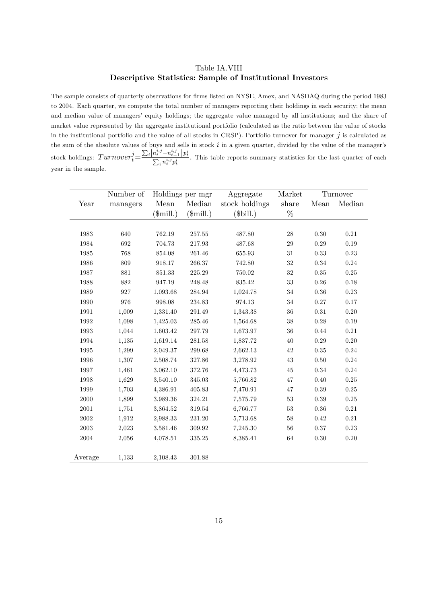### Table IA.VIII Descriptive Statistics: Sample of Institutional Investors

The sample consists of quarterly observations for firms listed on NYSE, Amex, and NASDAQ during the period 1983 to 2004. Each quarter, we compute the total number of managers reporting their holdings in each security; the mean and median value of managers' equity holdings; the aggregate value managed by all institutions; and the share of market value represented by the aggregate institutional portfolio (calculated as the ratio between the value of stocks in the institutional portfolio and the value of all stocks in CRSP). Portfolio turnover for manager  $j$  is calculated as the sum of the absolute values of buys and sells in stock  $i$  in a given quarter, divided by the value of the manager's stock holdings:  $Turnover i = \frac{\sum_i |n_t^{i,j} - n_{t-1}^{i,j}| p_t^i}{\sum_i n_t^{i,j} p_t^i}$ . This table reports summary statistics for the last quarter of each year in the sample.

|            | Number of |                  | Holdings per mgr  | Aggregate      | Market |            | Turnover |
|------------|-----------|------------------|-------------------|----------------|--------|------------|----------|
| Year       | managers  | Mean             | Median            | stock holdings | share  | Mean       | Median   |
|            |           | $(\text{small})$ | $(\text{small.})$ | $(\$bill.)$    | $\%$   |            |          |
|            |           |                  |                   |                |        |            |          |
| 1983       | 640       | 762.19           | 257.55            | 487.80         | 28     | 0.30       | 0.21     |
| 1984       | 692       | 704.73           | 217.93            | 487.68         | 29     | 0.29       | 0.19     |
| 1985       | 768       | 854.08           | 261.46            | 655.93         | 31     | $\rm 0.33$ | $0.23\,$ |
| 1986       | 809       | 918.17           | 266.37            | 742.80         | $32\,$ | $0.34\,$   | $0.24\,$ |
| 1987       | 881       | 851.33           | 225.29            | 750.02         | $32\,$ | $0.35\,$   | $0.25\,$ |
| 1988       | 882       | 947.19           | 248.48            | $835.42\,$     | 33     | $0.26\,$   | 0.18     |
| 1989       | 927       | 1,093.68         | 284.94            | 1,024.78       | $34\,$ | $0.36\,$   | $0.23\,$ |
| 1990       | 976       | 998.08           | 234.83            | 974.13         | $34\,$ | $0.27\,$   | 0.17     |
| 1991       | 1,009     | 1,331.40         | $291.49\,$        | 1,343.38       | 36     | 0.31       | $0.20\,$ |
| 1992       | 1,098     | 1,425.03         | 285.46            | 1,564.68       | $38\,$ | 0.28       | 0.19     |
| 1993       | 1,044     | 1,603.42         | 297.79            | 1,673.97       | 36     | 0.44       | $0.21\,$ |
| 1994       | 1,135     | 1,619.14         | 281.58            | 1,837.72       | 40     | 0.29       | $0.20\,$ |
| 1995       | 1,299     | 2,049.37         | 299.68            | 2,662.13       | $42\,$ | 0.35       | $0.24\,$ |
| 1996       | 1,307     | 2,508.74         | 327.86            | 3,278.92       | $43\,$ | 0.50       | $0.24\,$ |
| 1997       | 1,461     | 3,062.10         | 372.76            | 4,473.73       | 45     | 0.34       | 0.24     |
| 1998       | 1,629     | 3,540.10         | 345.03            | 5,766.82       | 47     | $0.40\,$   | $0.25\,$ |
| 1999       | 1,703     | 4,386.91         | 405.83            | 7,470.91       | 47     | 0.39       | $0.25\,$ |
| $2000\,$   | 1,899     | 3,989.36         | 324.21            | 7,575.79       | 53     | 0.39       | $0.25\,$ |
| 2001       | 1,751     | 3,864.52         | 319.54            | 6,766.77       | $53\,$ | $0.36\,$   | $0.21\,$ |
| 2002       | 1,912     | 2,988.33         | 231.20            | 5,713.68       | 58     | $0.42\,$   | $0.21\,$ |
| $\,2003\,$ | 2,023     | 3,581.46         | 309.92            | 7,245.30       | 56     | $0.37\,$   | $0.23\,$ |
| 2004       | 2,056     | 4,078.51         | 335.25            | 8,385.41       | 64     | $0.30\,$   | $0.20\,$ |
|            |           |                  |                   |                |        |            |          |
| Average    | 1,133     | 2,108.43         | 301.88            |                |        |            |          |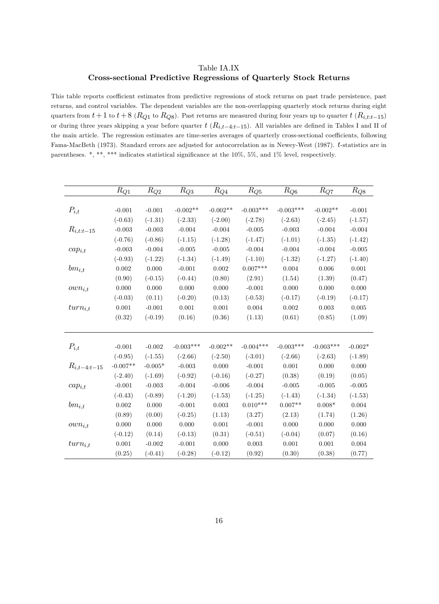# Table IA.IX Cross-sectional Predictive Regressions of Quarterly Stock Returns

This table reports coefficient estimates from predictive regressions of stock returns on past trade persistence, past returns, and control variables. The dependent variables are the non-overlapping quarterly stock returns during eight quarters from  $t + 1$  to  $t + 8$  ( $R_{Q1}$  to  $R_{Q8}$ ). Past returns are measured during four years up to quarter  $t$  ( $R_{i,t:t-15}$ ) or during three years skipping a year before quarter  $t$  ( $R_{i,t-4:t-15}$ ). All variables are defined in Tables I and II of the main article. The regression estimates are time-series averages of quarterly cross-sectional coefficients, following Fama-MacBeth (1973). Standard errors are adjusted for autocorrelation as in Newey-West (1987). t-statistics are in parentheses. \*, \*\*\* indicates statistical significance at the  $10\%$ , 5%, and 1% level, respectively.

|                  | $R_{Q\underline{1}}$ | $R_{Q_2}$ | $R_{Q3}$    | $R_{Q{\underline 4}}$ | $\mathcal{R}_{Q5}$ | $R_{Q{\underline{6}}}$ | $R_{Q7}$    | $R_{Q8}$  |
|------------------|----------------------|-----------|-------------|-----------------------|--------------------|------------------------|-------------|-----------|
|                  |                      |           |             |                       |                    |                        |             |           |
| $P_{i,t}$        | $-0.001$             | $-0.001$  | $-0.002**$  | $-0.002**$            | $-0.003***$        | $-0.003***$            | $-0.002**$  | $-0.001$  |
|                  | $(-0.63)$            | $(-1.31)$ | $(-2.33)$   | $(-2.00)$             | $(-2.78)$          | $(-2.63)$              | $(-2.45)$   | $(-1.57)$ |
| $R_{i,t:t-15}$   | $-0.003$             | $-0.003$  | $-0.004$    | $-0.004$              | $-0.005$           | $-0.003$               | $-0.004$    | $-0.004$  |
|                  | $(-0.76)$            | $(-0.86)$ | $(-1.15)$   | $(-1.28)$             | $(-1.47)$          | $(-1.01)$              | $(-1.35)$   | $(-1.42)$ |
| $cap_{i,t}$      | $-0.003$             | $-0.004$  | $-0.005$    | $-0.005$              | $-0.004$           | $-0.004$               | $-0.004$    | $-0.005$  |
|                  | $(-0.93)$            | $(-1.22)$ | $(-1.34)$   | $(-1.49)$             | $(-1.10)$          | $(-1.32)$              | $(-1.27)$   | $(-1.40)$ |
| $bm_{i,t}$       | 0.002                | 0.000     | $-0.001$    | $0.002\,$             | $0.007***$         | 0.004                  | 0.006       | 0.001     |
|                  | (0.90)               | $(-0.15)$ | $(-0.44)$   | (0.80)                | (2.91)             | (1.54)                 | (1.39)      | (0.47)    |
| $own_{i,t}$      | 0.000                | 0.000     | 0.000       | 0.000                 | $-0.001$           | 0.000                  | 0.000       | 0.000     |
|                  | $(-0.03)$            | (0.11)    | $(-0.20)$   | (0.13)                | $(-0.53)$          | $(-0.17)$              | $(-0.19)$   | $(-0.17)$ |
| $turn_{i,t}$     | 0.001                | $-0.001$  | 0.001       | 0.001                 | 0.004              | 0.002                  | 0.003       | 0.005     |
|                  | (0.32)               | $(-0.19)$ | (0.16)      | (0.36)                | (1.13)             | (0.61)                 | (0.85)      | (1.09)    |
|                  |                      |           |             |                       |                    |                        |             |           |
|                  |                      |           |             |                       |                    |                        |             |           |
| $P_{i,t}$        | $-0.001$             | $-0.002$  | $-0.003***$ | $-0.002**$            | $-0.004***$        | $-0.003***$            | $-0.003***$ | $-0.002*$ |
|                  | $(-0.95)$            | $(-1.55)$ | $(-2.66)$   | $(-2.50)$             | $(-3.01)$          | $(-2.66)$              | $(-2.63)$   | $(-1.89)$ |
| $R_{i,t-4:t-15}$ | $-0.007**$           | $-0.005*$ | $-0.003$    | 0.000                 | $-0.001$           | $0.001\,$              | 0.000       | 0.000     |
|                  | $(-2.40)$            | $(-1.69)$ | $(-0.92)$   | $(-0.16)$             | $(-0.27)$          | (0.38)                 | (0.19)      | (0.05)    |
| $cap_{i,t}$      | $-0.001$             | $-0.003$  | $-0.004$    | $-0.006$              | $-0.004$           | $-0.005$               | $-0.005$    | $-0.005$  |
|                  | $(-0.43)$            | $(-0.89)$ | $(-1.20)$   | $(-1.53)$             | $(-1.25)$          | $(-1.43)$              | $(-1.34)$   | $(-1.53)$ |
| $bm_{i,t}$       | 0.002                | 0.000     | $-0.001$    | 0.003                 | $0.010***$         | $0.007**$              | $0.008*$    | 0.004     |
|                  | (0.89)               | (0.00)    | $(-0.25)$   | (1.13)                | (3.27)             | (2.13)                 | (1.74)      | (1.26)    |
| $own_{i,t}$      | 0.000                | $0.000\,$ | 0.000       | $0.001\,$             | $-0.001$           | 0.000                  | 0.000       | 0.000     |
|                  | $(-0.12)$            | (0.14)    | $(-0.13)$   | (0.31)                | $(-0.51)$          | $(-0.04)$              | (0.07)      | (0.16)    |
| $turn_{i,t}$     | $0.001\,$            | $-0.002$  | $-0.001$    | 0.000                 | 0.003              | 0.001                  | 0.001       | 0.004     |
|                  | (0.25)               | $(-0.41)$ | $(-0.28)$   | $(-0.12)$             | (0.92)             | (0.30)                 | (0.38)      | (0.77)    |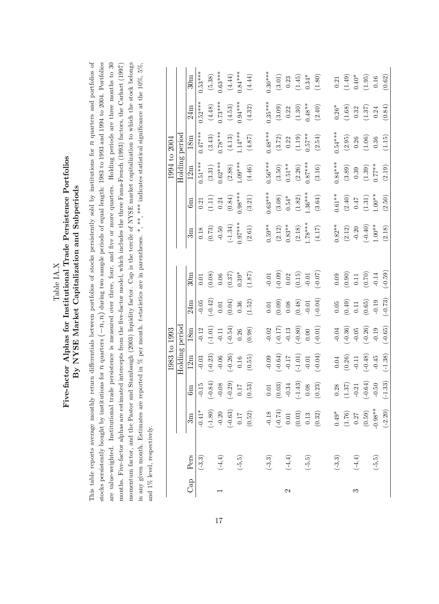| Table IA.X | Five-factor Alphas for Institutional Trade Persistence Portfolios | By NYSE Market Capitalization and Subperiods |
|------------|-------------------------------------------------------------------|----------------------------------------------|
|------------|-------------------------------------------------------------------|----------------------------------------------|

This table reports average monthly return differentials between portfolios of stocks persistently sold by institutions for  $n$  quarters and portfolios of stocks persistently bought by institutions for  $n$  quarters  $(-n, n)$  during two sample periods of equal length: 1983 to 1993 and 1994 to 2004. Portfolios momentum factor, and the Pastor and Stambaugh (2003) liquidity factor. Cap is the tercile of NYSE market capitalization to which the stock belongs are value-weighted. Institutional trade persistence is measured over three, four, and five or more quarters. Holding periods are three months to 30 This table reports average monthly return differentials between portfolios of stocks persistently sold by institutions for  $n$  quarters and portfolios of stocks persistently bought by institutions for  $n$  quarters  $(-n, n)$  during two sample periods of equal length: 1983 to 1993 and 1994 to 2004. Portfolios are value-weighted. Institutional trade persistence is measured over three, four, and Öve or more quarters. Holding periods are three months to 30 months. Five-factor alphas are estimated intercepts from the five-factor model, which includes the three Fama-French (1993) factors, the Carhart (1997) momentum factor, and the Pastor and Stambaugh (2003) liquidity factor. Cap is the tercile of NYSE market capitalization to which the stock belongs in any given month. Estimates are reported in  $\%$  per month. t-statistics are in parentheses. \*, \*\*\* indicates statistical significance at the 10%, 5%, in any given month. Estimates are reported in  $\%$  per month. t-statistics are in parentheses. \*, \*\*, \*\* indicates statistical significance at the 10%, 5%, months. Five-factor alphas are estimated intercepts from the Öve-factor model, which includes the three Fama-French (1993) factors, the Carhart (1997) and  $1\%$  level, respectively. and 1% level, respectively.

|               |                      |                                                                                     |                                                                                     | 1983 to 1993                                           |                       |                                                       |                                               |                     |                      | 1994 to 2004                                  |                                               |                                                                 |                                                                             |
|---------------|----------------------|-------------------------------------------------------------------------------------|-------------------------------------------------------------------------------------|--------------------------------------------------------|-----------------------|-------------------------------------------------------|-----------------------------------------------|---------------------|----------------------|-----------------------------------------------|-----------------------------------------------|-----------------------------------------------------------------|-----------------------------------------------------------------------------|
|               |                      |                                                                                     |                                                                                     | Holding period                                         |                       |                                                       |                                               |                     |                      | Holding                                       | period                                        |                                                                 |                                                                             |
|               | Cap Pers             | 3m                                                                                  | 6m                                                                                  | 12m                                                    | 18m                   | 24m                                                   | 30m                                           | 3m                  | 6m                   | 12m                                           | 18m                                           | 24m                                                             | 30 <sub>m</sub>                                                             |
|               | $(-3,3)$             | $-0.41*$                                                                            | $-0.15$                                                                             | $-0.03$                                                | $-0.12$               | $-0.05$                                               | 0.01                                          | $0.18\,$            | 0.21                 | $0.51***$                                     | $0.47***$                                     | $0.52***$                                                       | $0.53***$                                                                   |
|               |                      |                                                                                     |                                                                                     | $(-0.23)$                                              | $\left( -1.01\right)$ | $(-0.42)$<br>0.01<br>0.04)                            | (0.08)                                        | (0.73)              |                      | $(3.31)$<br>0.62***                           |                                               | $(4.48)$                                                        |                                                                             |
|               | $\left( -4,4\right)$ |                                                                                     |                                                                                     | $-0.06$                                                | $-0.11$               |                                                       | $0.06\,$                                      |                     | $(1.11)$<br>0.24     |                                               | $(3.43)$<br>0.78***                           | $0.73***$                                                       | $(5.38)$<br>0.63***                                                         |
|               |                      |                                                                                     |                                                                                     | $(-0.26)$                                              | $(-0.54)$             |                                                       |                                               | $(-1.34)$           | $(0.84)$<br>0.98***  |                                               | $(4.13)$<br>1.14***                           | (4.53)                                                          | $(4.44)$<br>0.84***                                                         |
|               | $\left( -5,5\right)$ |                                                                                     |                                                                                     | $0.16\,$                                               | $0.26\,$              | $\rm 0.36$                                            | $(0.37)$ $0.39^{\ast}$                        | $0.97***$           |                      | $(2.88)$<br>1.09***                           |                                               | $0.94***$                                                       |                                                                             |
|               |                      | $\begin{array}{c} (-1.80) \\ -0.20 \\ \hline (0.63) \\ 0.17 \\ \end{array}$         | $\begin{array}{c} (-0.84) \\ -0.08 \\ (-0.29) \\ 0.17 \\ (0.53) \end{array}$        | $(0.55)$                                               | (0.98)                | (1.52)                                                | (1.87)                                        | $(2.61)$            | (3.21)               | (4.46)                                        | $(4.87)$                                      | $\left( 4.32\right)$                                            | $(4.44)$                                                                    |
|               | $(-3, 3)$            |                                                                                     | $\begin{array}{c} 0.01 \\ (0.03) \\ -0.34 \\ (-1.43) \\ 0.08 \\ (0.23) \end{array}$ |                                                        | $-0.02$               |                                                       | $-0.01$                                       | $0.59***$           | $0.63***$            | $0.56***$                                     | $0.48***$                                     | $0.35***$                                                       | $0.30***$                                                                   |
|               |                      |                                                                                     |                                                                                     | $(-0.00)$                                              |                       | $(0.01$<br>$(0.09)$<br>$0.08$                         | $(-0.09)$                                     |                     |                      |                                               |                                               |                                                                 |                                                                             |
| $\mathcal{C}$ | $\left( -4,4\right)$ |                                                                                     |                                                                                     | $-0.17$                                                | $(-0.17)$<br>-0.13    |                                                       | $0.02\,$                                      | $(2.12)$ $0.83**$   | $(3.08)$<br>0.54*    | $(3.50)$<br>0.51 **                           | $(3.72)$ $0.22$                               | $\begin{array}{c} (3.09) \\ 0.22 \end{array}$                   |                                                                             |
|               |                      |                                                                                     |                                                                                     | $(-1.01)$                                              | $(-0.80)$             |                                                       | $\left(0.15\right)$ $-0.01$                   | $(2.18)$<br>L.78*** | $(1.82)$<br>1.36***  | $(2.26)$<br>0.87***                           | $(1.19)$<br>0.57**                            |                                                                 | $\begin{array}{c} (3.01) \\ 0.23 \\ (1.45) \\ 0.34^* \end{array}$           |
|               | $\left( -5,5\right)$ |                                                                                     |                                                                                     | $-0.01$                                                | $0.00\,$              | $(0.48)$<br>-0.01                                     |                                               |                     |                      |                                               |                                               | $(1.30)$<br>0.48**                                              |                                                                             |
|               |                      | $\begin{array}{c} -0.18 \\ (-0.74) \\ 0.01 \\ (0.03) \\ 0.13 \\ (0.32) \end{array}$ |                                                                                     | $(-0.04)$                                              | $(-0.01)$             | $(-0.04)$                                             | $(50.0-)$                                     | $(4.17)$            | (3.64)               | (3.16)                                        | (2.54)                                        | $(2.40)$                                                        | $(1.80)$                                                                    |
|               | $(-3,3)$             |                                                                                     |                                                                                     |                                                        | $-0.04$               |                                                       | 0.09                                          | $0.82**$            | $0.61**$             | $0.84***$                                     | $0.54***$                                     | $0.26*$                                                         |                                                                             |
|               |                      | $0.49$ <sup>*</sup><br>(1.76)<br>(0.59)<br>(0.59)<br>(0.98**                        | $\begin{array}{c} 0.28 \\ (1.37) \\ -0.21 \\ (-0.64) \\ -0.50 \\ \end{array}$       | $\begin{array}{c} 0.04 \\ (0.26) \\ -0.11 \end{array}$ | $(-0.36)$             | $\begin{array}{c} 0.05 \\ (0.49) \\ 0.11 \end{array}$ |                                               | $(2.12)$<br>-0.20   |                      |                                               |                                               |                                                                 | $\begin{array}{c} 0.21 \\ (1.49) \\ 0.40^* \\ (1.95) \\ (1.95) \end{array}$ |
| S             | $\left( -4,4\right)$ |                                                                                     |                                                                                     |                                                        | $-0.05$               |                                                       | $\begin{array}{c} (0.90) \\ 0.11 \end{array}$ |                     | $(2.40)$ $0.47$      | $\begin{array}{c} (3.89) \\ 0.39 \end{array}$ | $(2.95)$ $\phantom{-}0.26$                    |                                                                 |                                                                             |
|               |                      |                                                                                     |                                                                                     | $(-0.48)$                                              | $(-0.26)$             | $(0.65)$<br>-0.19                                     | $(0.70)$<br>-0.14                             | $(-0.40)$<br>1.00** | $(1.31)$<br>$1.00**$ | $(1.39)$<br>0.77**                            | $\begin{array}{c} (1.06) \\ 0.36 \end{array}$ | $\begin{array}{c} (1.68) \\ 0.32 \\ (1.37) \\ 0.24 \end{array}$ |                                                                             |
|               | $(-5,5)$             |                                                                                     |                                                                                     | $-0.45$                                                | $-0.19$               |                                                       |                                               |                     |                      |                                               |                                               |                                                                 |                                                                             |
|               |                      | $(-2.20)$                                                                           |                                                                                     | $(-1.38)$                                              | $(-0.65)$             | $(-0.73)$                                             | $(-0.59)$                                     | (2.18)              | $(2.50)$             | (2.19)                                        | (1.15)                                        | (0.84)                                                          | $\left(0.62\right)$                                                         |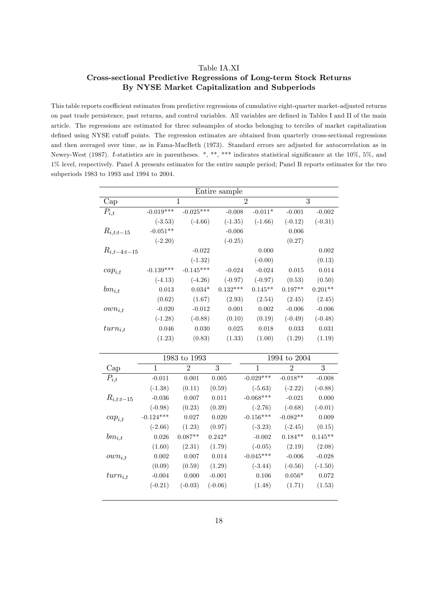#### Table IA.XI

# Cross-sectional Predictive Regressions of Long-term Stock Returns By NYSE Market Capitalization and Subperiods

This table reports coefficient estimates from predictive regressions of cumulative eight-quarter market-adjusted returns on past trade persistence, past returns, and control variables. All variables are defined in Tables I and II of the main article. The regressions are estimated for three subsamples of stocks belonging to terciles of market capitalization defined using NYSE cutoff points. The regression estimates are obtained from quarterly cross-sectional regressions and then averaged over time, as in Fama-MacBeth (1973). Standard errors are adjusted for autocorrelation as in Newey-West (1987). t-statistics are in parentheses. \*, \*\*, \*\*\* indicates statistical significance at the 10%, 5%, and 1% level, respectively. Panel A presents estimates for the entire sample period; Panel B reports estimates for the two subperiods 1983 to 1993 and 1994 to 2004.

|                  |             |             | Entire sample  |           |           |           |
|------------------|-------------|-------------|----------------|-----------|-----------|-----------|
| Cap              | 1           |             | $\overline{2}$ |           |           | 3         |
| $P_{i,t}$        | $-0.019***$ | $-0.025***$ | $-0.008$       | $-0.011*$ | $-0.001$  | $-0.002$  |
|                  | $(-3.53)$   | $(-4.66)$   | $(-1.35)$      | $(-1.66)$ | $(-0.12)$ | $(-0.31)$ |
| $R_{i,t:t-15}$   | $-0.051**$  |             | $-0.006$       |           | 0.006     |           |
|                  | $(-2.20)$   |             | $(-0.25)$      |           | (0.27)    |           |
| $R_{i,t-4:t-15}$ |             | $-0.022$    |                | 0.000     |           | 0.002     |
|                  |             | $(-1.32)$   |                | $(-0.00)$ |           | (0.13)    |
| $cap_{i,t}$      | $-0.139***$ | $-0.145***$ | $-0.024$       | $-0.024$  | 0.015     | 0.014     |
|                  | $(-4.13)$   | $(-4.26)$   | $(-0.97)$      | $(-0.97)$ | (0.53)    | (0.50)    |
| $bm_{i,t}$       | 0.013       | $0.034*$    | $0.132***$     | $0.145**$ | $0.197**$ | $0.201**$ |
|                  | (0.62)      | (1.67)      | (2.93)         | (2.54)    | (2.45)    | (2.45)    |
| $own_{i,t}$      | $-0.020$    | $-0.012$    | 0.001          | 0.002     | $-0.006$  | $-0.006$  |
|                  | $(-1.28)$   | $(-0.88)$   | (0.10)         | (0.19)    | $(-0.49)$ | $(-0.48)$ |
| $turn_{i,t}$     | 0.046       | 0.030       | 0.025          | 0.018     | 0.033     | 0.031     |
|                  | (1.23)      | (0.83)      | (1.33)         | (1.00)    | (1.29)    | (1.19)    |

|                |             | 1983 to 1993                |           |             | 1994 to 2004   |           |
|----------------|-------------|-----------------------------|-----------|-------------|----------------|-----------|
| Cap            | 1           | $\mathcal{D}_{\mathcal{L}}$ | 3         | 1           | $\mathfrak{D}$ | 3         |
| $P_{i,t}$      | $-0.011$    | 0.001                       | 0.005     | $-0.029***$ | $-0.018**$     | $-0.008$  |
|                | $(-1.38)$   | (0.11)                      | (0.59)    | $(-5.63)$   | $(-2.22)$      | $(-0.88)$ |
| $R_{i,t:t-15}$ | $-0.036$    | 0.007                       | 0.011     | $-0.068***$ | $-0.021$       | 0.000     |
|                | $(-0.98)$   | (0.23)                      | (0.39)    | $(-2.76)$   | $(-0.68)$      | $(-0.01)$ |
| $cap_{i,t}$    | $-0.124***$ | 0.027                       | 0.020     | $-0.156***$ | $-0.082**$     | 0.009     |
|                | $(-2.66)$   | (1.23)                      | (0.97)    | $(-3.23)$   | $(-2.45)$      | (0.15)    |
| $bm_{i,t}$     | 0.026       | $0.087**$                   | $0.242*$  | $-0.002$    | $0.184**$      | $0.145**$ |
|                | (1.60)      | (2.31)                      | (1.79)    | $(-0.05)$   | (2.19)         | (2.08)    |
| $own_{i,t}$    | 0.002       | 0.007                       | 0.014     | $-0.045***$ | $-0.006$       | $-0.028$  |
|                | (0.09)      | (0.59)                      | (1.29)    | $(-3.44)$   | $(-0.56)$      | $(-1.50)$ |
| $turn_{i,t}$   | $-0.004$    | 0.000                       | $-0.001$  | 0.106       | $0.056*$       | 0.072     |
|                | $(-0.21)$   | $(-0.03)$                   | $(-0.06)$ | (1.48)      | (1.71)         | (1.53)    |